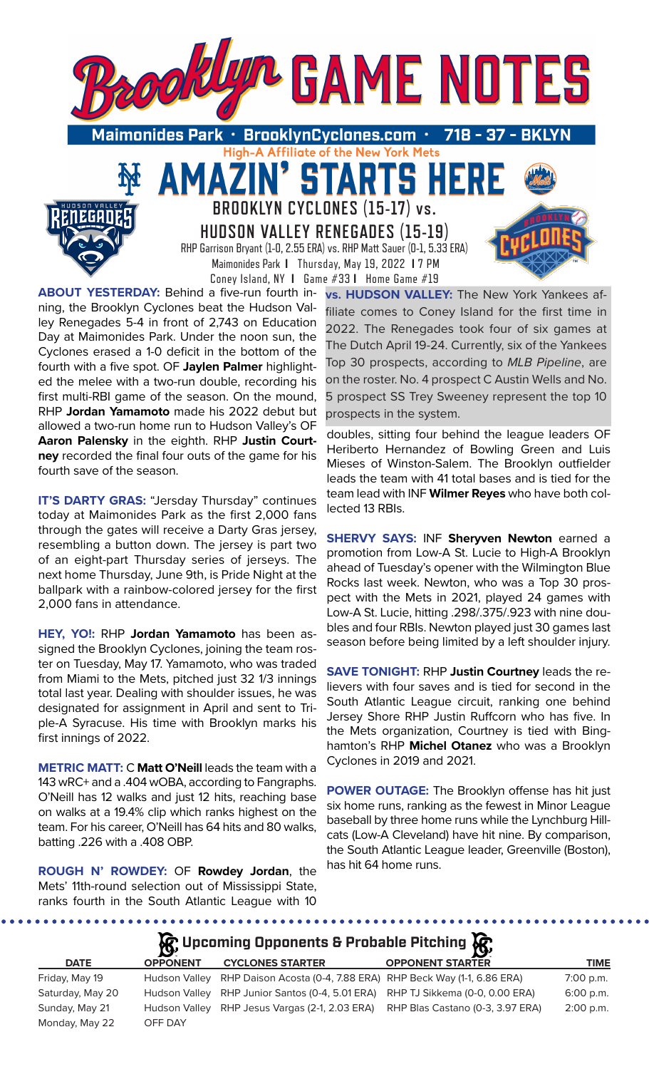

**ABOUT YESTERDAY:** Behind a five-run fourth inning, the Brooklyn Cyclones beat the Hudson Valley Renegades 5-4 in front of 2,743 on Education Day at Maimonides Park. Under the noon sun, the Cyclones erased a 1-0 deficit in the bottom of the fourth with a five spot. OF **Jaylen Palmer** highlighted the melee with a two-run double, recording his first multi-RBI game of the season. On the mound, RHP **Jordan Yamamoto** made his 2022 debut but allowed a two-run home run to Hudson Valley's OF **Aaron Palensky** in the eighth. RHP **Justin Courtney** recorded the final four outs of the game for his fourth save of the season.

**IT'S DARTY GRAS: "Jersday Thursday" continues** today at Maimonides Park as the first 2,000 fans through the gates will receive a Darty Gras jersey, resembling a button down. The jersey is part two of an eight-part Thursday series of jerseys. The next home Thursday, June 9th, is Pride Night at the ballpark with a rainbow-colored jersey for the first 2,000 fans in attendance.

**HEY, YO!:** RHP **Jordan Yamamoto** has been assigned the Brooklyn Cyclones, joining the team roster on Tuesday, May 17. Yamamoto, who was traded from Miami to the Mets, pitched just 32 1/3 innings total last year. Dealing with shoulder issues, he was designated for assignment in April and sent to Triple-A Syracuse. His time with Brooklyn marks his first innings of 2022.

**METRIC MATT:** C **Matt O'Neill** leads the team with a 143 wRC+ and a .404 wOBA, according to Fangraphs. O'Neill has 12 walks and just 12 hits, reaching base on walks at a 19.4% clip which ranks highest on the team. For his career, O'Neill has 64 hits and 80 walks, batting .226 with a .408 OBP.

**ROUGH N' ROWDEY:** OF **Rowdey Jordan**, the Mets' 11th-round selection out of Mississippi State, ranks fourth in the South Atlantic League with 10

............

**vs. HUDSON VALLEY:** The New York Yankees affiliate comes to Coney Island for the first time in 2022. The Renegades took four of six games at The Dutch April 19-24. Currently, six of the Yankees Top 30 prospects, according to *MLB Pipeline*, are on the roster. No. 4 prospect C Austin Wells and No. 5 prospect SS Trey Sweeney represent the top 10 prospects in the system.

doubles, sitting four behind the league leaders OF Heriberto Hernandez of Bowling Green and Luis Mieses of Winston-Salem. The Brooklyn outfielder leads the team with 41 total bases and is tied for the team lead with INF **Wilmer Reyes** who have both collected 13 RBIs.

**SHERVY SAYS:** INF **Sheryven Newton** earned a promotion from Low-A St. Lucie to High-A Brooklyn ahead of Tuesday's opener with the Wilmington Blue Rocks last week. Newton, who was a Top 30 prospect with the Mets in 2021, played 24 games with Low-A St. Lucie, hitting .298/.375/.923 with nine doubles and four RBIs. Newton played just 30 games last season before being limited by a left shoulder injury.

**SAVE TONIGHT:** RHP **Justin Courtney** leads the relievers with four saves and is tied for second in the South Atlantic League circuit, ranking one behind Jersey Shore RHP Justin Ruffcorn who has five. In the Mets organization, Courtney is tied with Binghamton's RHP **Michel Otanez** who was a Brooklyn Cyclones in 2019 and 2021.

**POWER OUTAGE:** The Brooklyn offense has hit just six home runs, ranking as the fewest in Minor League baseball by three home runs while the Lynchburg Hillcats (Low-A Cleveland) have hit nine. By comparison, the South Atlantic League leader, Greenville (Boston), has hit 64 home runs.

# **A**, Upcoming Opponents & Probable Pitching  $\mathcal{R}$ ,

. . . . . . . . . . . . . . .

| DATE             | <b>OPPONE</b> |
|------------------|---------------|
| Friday, May 19   | Hudson \      |
| Saturday, May 20 | Hudson \      |
| Sunday, May 21   | Hudson \      |
| Monday, May 22   | OFF DAY       |

on Valley RHP Daison Acosta (0-4, 7.88 ERA) RHP Beck Way (1-1, 6.86 ERA) 7:00 p.m. on Valley RHP Junior Santos (0-4, 5.01 ERA) RHP TJ Sikkema (0-0, 0.00 ERA) 6:00 p.m.

**DATE OPPONENT CYCLONES STARTER OPPONENT STARTER TIME** on Valley RHP Jesus Vargas (2-1, 2.03 ERA) RHP Blas Castano (0-3, 3.97 ERA) 2:00 p.m.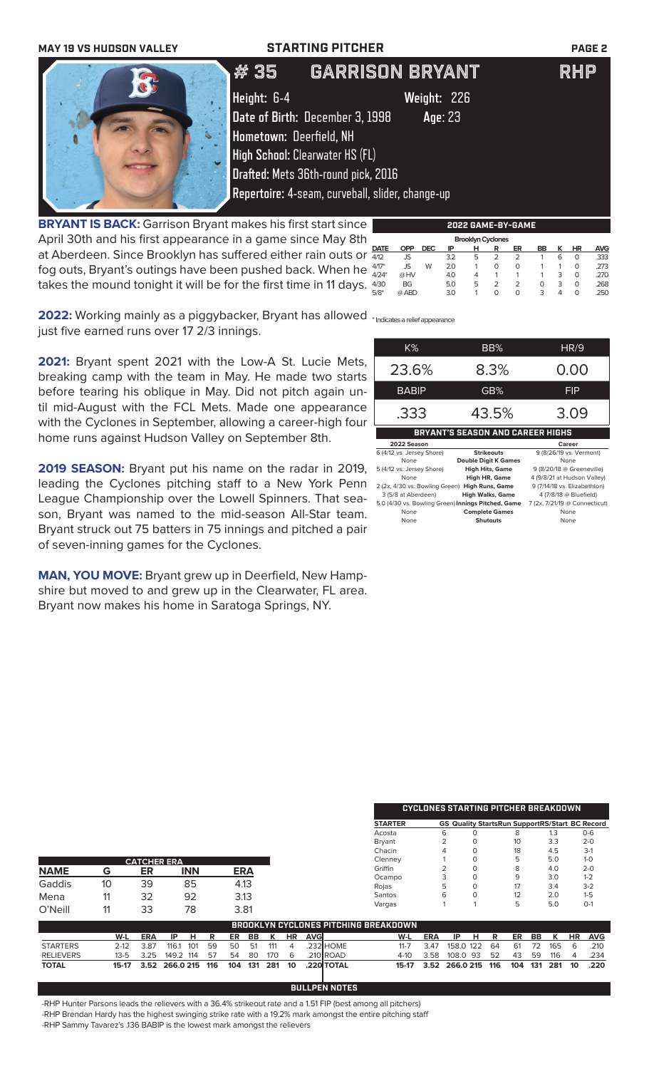| <b>MAY 19 VS HUDSON VALLEY</b>                                     |                     | <b>STARTING PITCHER</b>                                                                                                                                                                                                                             | <b>PAGE 2</b> |
|--------------------------------------------------------------------|---------------------|-----------------------------------------------------------------------------------------------------------------------------------------------------------------------------------------------------------------------------------------------------|---------------|
| $\mathbb{Z}$                                                       | # 35<br>Height: 6-4 | <b>GARRISON BRYANT</b><br>Weight: 226<br>Date of Birth: December 3, 1998<br>Age: 23<br>Hometown: Deerfield, NH<br><b>High School: Clearwater HS (FL)</b><br>Drafted: Mets 36th-round pick, 2016<br>Repertoire: 4-seam, curveball, slider, change-up | <b>RHP</b>    |
| <b>RDVANT IS RACK:</b> Garrison Rryant makes his first start since |                     | gngg e A                                                                                                                                                                                                                                            |               |

**BRYANT IS BACK:** Garrison Bryant makes his first start since April 30th and his first appearance in a game since May 8th at Aberdeen. Since Brooklyn has suffered either rain outs or fog outs, Bryant's outings have been pushed back. When he takes the mound tonight it will be for the first time in 11 days.

|             |            |            |     | 2022 GAME-BY-GAME        |               |    |    |   |    |            |
|-------------|------------|------------|-----|--------------------------|---------------|----|----|---|----|------------|
|             |            |            |     | <b>Brooklyn Cyclones</b> |               |    |    |   |    |            |
| <b>DATE</b> | <b>OPP</b> | <b>DEC</b> | ΙP  | н                        | R             | ER | BB |   | ΗR | <b>AVG</b> |
| 4/12        | JS         |            | 3.2 | 5                        |               |    |    | 6 | 0  | .333       |
| $4/17*$     | JS.        | W          | 2.0 |                          | 0             | O  |    |   | 0  | .273       |
| $4/24*$     | @HV        |            | 4.0 | 4                        |               |    |    | 3 | O  | .270       |
| 4/30        | BG         |            | 5.0 | 5                        | $\mathcal{P}$ | 2  | O  | 3 | O  | .268       |
| $5/8*$      | @ ABD      |            | 3.0 |                          | O             | 0  | з  | Δ | 0  | 250        |
|             |            |            |     |                          |               |    |    |   |    |            |

**2022:** Working mainly as a piggybacker, Bryant has allowed <sub>\* Indicates a relief appearance</sub> just five earned runs over 17 2/3 innings.

**2021:** Bryant spent 2021 with the Low-A St. Lucie Mets, breaking camp with the team in May. He made two starts before tearing his oblique in May. Did not pitch again until mid-August with the FCL Mets. Made one appearance with the Cyclones in September, allowing a career-high four home runs against Hudson Valley on September 8th.

**2019 SEASON:** Bryant put his name on the radar in 2019, leading the Cyclones pitching staff to a New York Penn League Championship over the Lowell Spinners. That season, Bryant was named to the mid-season All-Star team. Bryant struck out 75 batters in 75 innings and pitched a pair of seven-inning games for the Cyclones.

**MAN, YOU MOVE:** Bryant grew up in Deerfield, New Hampshire but moved to and grew up in the Clearwater, FL area. Bryant now makes his home in Saratoga Springs, NY.

| K%                        | BB%                                     | <b>HR/9</b>                 |
|---------------------------|-----------------------------------------|-----------------------------|
| 23.6%                     | 8.3%                                    | 0.00                        |
| <b>BABIP</b>              | GB%                                     | FIP                         |
| .333                      | 43.5%                                   | 3.09                        |
|                           | <b>BRYANT'S SEASON AND CAREER HIGHS</b> |                             |
| 2022 Season               |                                         | Career                      |
| 6 (4/12 vs. Jersey Shore) | <b>Strikeouts</b>                       | 9 (8/26/19 vs. Vermont)     |
| None                      | <b>Double Digit K Games</b>             | None                        |
| 5 (4/12 vs. Jersey Shore) | <b>High Hits, Game</b>                  | 9 (8/20/18 @ Greeneville)   |
| None                      | <b>High HR, Game</b>                    | 4 (9/8/21 at Hudson Valley) |

| 5 (4/12 vs. Jersey Shore)                          | <b>High Hits, Game</b>  | 9 (8/20/18 @ Greeneville)     |
|----------------------------------------------------|-------------------------|-------------------------------|
| None                                               | <b>High HR, Game</b>    | 4 (9/8/21 at Hudson Valley)   |
| 2 (2x, 4/30 vs. Bowling Green) High Runs, Game     |                         | 9 (7/14/18 vs. Elizabethton)  |
| 3 (5/8 at Aberdeen)                                | <b>High Walks, Game</b> | 4 (7/8/18 @ Bluefield)        |
| 5.0 (4/30 vs. Bowling Green) Innings Pitched, Game |                         | 7 (2x, 7/21/19 @ Connecticut) |
| None                                               | <b>Complete Games</b>   | None                          |
| None                                               | <b>Shutouts</b>         | None                          |
|                                                    |                         |                               |

|                  |          |                    |              |     |            |      |     |           |            |            |                                             |          |            | <b>CYCLONES STARTING PITCHER BREAKDOWN</b>            |          |     |                 |     |     |    |            |
|------------------|----------|--------------------|--------------|-----|------------|------|-----|-----------|------------|------------|---------------------------------------------|----------|------------|-------------------------------------------------------|----------|-----|-----------------|-----|-----|----|------------|
|                  |          |                    |              |     |            |      |     |           |            |            | <b>STARTER</b>                              |          |            | <b>GS Quality StartsRun SupportRS/Start BC Record</b> |          |     |                 |     |     |    |            |
|                  |          |                    |              |     |            |      |     |           |            |            | Acosta                                      |          |            | 6                                                     | O        |     | 8               |     | 1.3 |    | $O - 6$    |
|                  |          |                    |              |     |            |      |     |           |            |            | <b>Bryant</b>                               |          |            |                                                       | O        |     | 10 <sup>°</sup> |     | 3.3 |    | $2 - 0$    |
|                  |          |                    |              |     |            |      |     |           |            |            | Chacin                                      |          |            |                                                       | $\Omega$ |     | 18              |     | 4.5 |    | $3-1$      |
|                  |          | <b>CATCHER ERA</b> |              |     |            |      |     |           |            |            | Clenney                                     |          |            |                                                       | $\Omega$ |     | 5               |     | 5.0 |    | $1 - 0$    |
| <b>NAME</b>      | G        | ER                 | <b>INN</b>   |     | <b>ERA</b> |      |     |           |            |            | Griffin                                     |          |            |                                                       | $\Omega$ |     | 8               |     | 4.0 |    | $2 - 0$    |
|                  |          |                    |              |     |            |      |     |           |            |            | Ocampo                                      |          |            | 3                                                     | 0        |     | 9               |     | 3.0 |    | $1 - 2$    |
| Gaddis           | 10       | 39                 | 85           |     |            | 4.13 |     |           |            |            | Rojas                                       |          |            | 5                                                     | $\Omega$ |     | 17              |     | 3.4 |    | $3-2$      |
| Mena             | 11       | 32                 | 92           |     |            | 3.13 |     |           |            |            | Santos                                      |          |            | 6                                                     | $\Omega$ |     | 12              |     | 2.0 |    | $1 - 5$    |
| O'Neill          | 11       | 33                 | 78           |     | 3.81       |      |     |           |            |            | Vargas                                      |          |            |                                                       |          |     | 5               |     | 5.0 |    | $O-1$      |
|                  |          |                    |              |     |            |      |     |           |            |            | <b>BROOKLYN CYCLONES PITCHING BREAKDOWN</b> |          |            |                                                       |          |     |                 |     |     |    |            |
|                  | W-L      | <b>ERA</b>         | IP<br>н      | R   | ER         | BB   | ĸ   | <b>HR</b> | <b>AVG</b> |            |                                             | W-L      | <b>ERA</b> | IP                                                    | н        | R   | ER              | BB  | ĸ   | HR | <b>AVG</b> |
| <b>STARTERS</b>  | $2 - 12$ | 3.87               | 116.1<br>101 | 59  | 50         | 51   | 111 | 4         |            | 232 HOME   |                                             | $11 - 7$ | 3.47       | 158.0 122                                             |          | 64  | 61              | 72  | 165 | 6  | .210       |
| <b>RELIEVERS</b> | $13 - 5$ | 3.25               | 149.2<br>114 | 57  | 54         | 80   | 170 | 6         |            | .210 ROAD  |                                             | $4-10$   | 3.58       | 108.0 93                                              |          | 52  | 43              | 59  | 116 | 4  | .234       |
| TOTAL            | 15-17    | 3.52               | 266.0 215    | 116 | 104        | 131  | 281 | 10        |            | .220 TOTAL |                                             | 15-17    | 3.52       | 266.0 215                                             |          | 116 | 104             | 131 | 281 | 10 | .220       |

**BULLPEN NOTES**

-RHP Hunter Parsons leads the relievers with a 36.4% strikeout rate and a 1.51 FIP (best among all pitchers) -RHP Brendan Hardy has the highest swinging strike rate with a 19.2% mark amongst the entire pitching staff -RHP Sammy Tavarez's .136 BABIP is the lowest mark amongst the relievers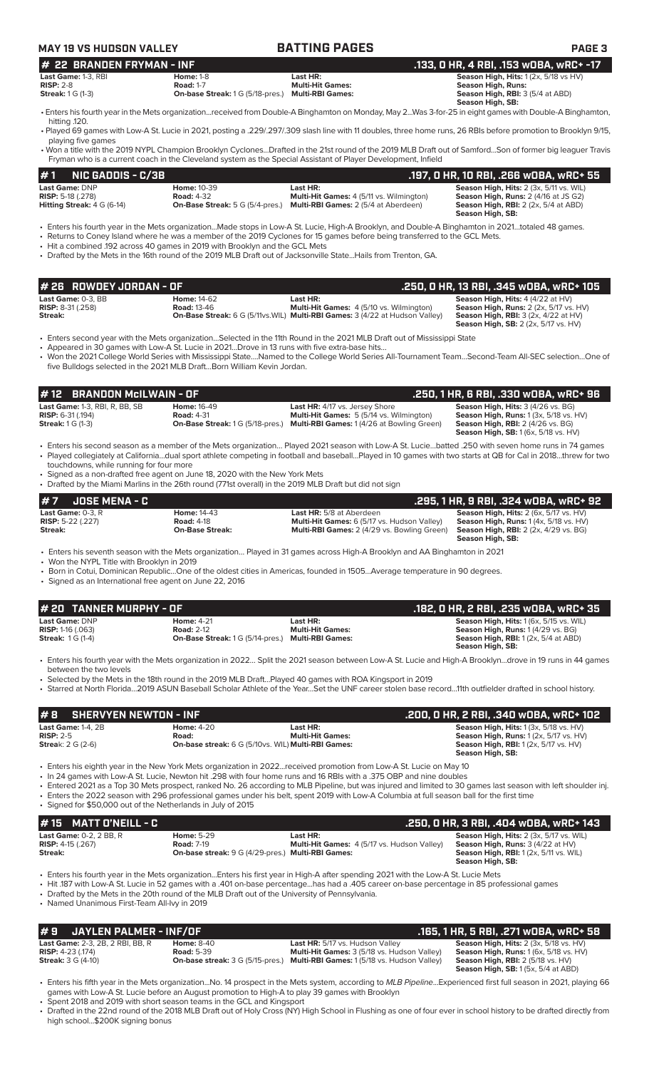| <b>MAY 19 VS HUDSON VALLEY</b>                                                                                                                      |                                                                                                                                                                                         | <b>BATTING PAGES</b>                                                                                                                                                                                                                                                                                                                                                                                                                                                                                                                                        | <b>PAGE 3</b>                                                                                                                                                                        |
|-----------------------------------------------------------------------------------------------------------------------------------------------------|-----------------------------------------------------------------------------------------------------------------------------------------------------------------------------------------|-------------------------------------------------------------------------------------------------------------------------------------------------------------------------------------------------------------------------------------------------------------------------------------------------------------------------------------------------------------------------------------------------------------------------------------------------------------------------------------------------------------------------------------------------------------|--------------------------------------------------------------------------------------------------------------------------------------------------------------------------------------|
| <b>22 BRANDEN FRYMAN - INF</b><br>#<br>Last Game: 1-3, RBI                                                                                          | <b>Home: 1-8</b>                                                                                                                                                                        | Last HR:                                                                                                                                                                                                                                                                                                                                                                                                                                                                                                                                                    | .133, 0 HR, 4 RBI, .153 wOBA, wRC+ -17<br>Season High, Hits: 1 (2x, 5/18 vs HV)                                                                                                      |
| <b>RISP: 2-8</b><br><b>Streak:</b> 1 G (1-3)                                                                                                        | <b>Road: 1-7</b><br>On-base Streak: 1 G (5/18-pres.) Multi-RBI Games:                                                                                                                   | <b>Multi-Hit Games:</b>                                                                                                                                                                                                                                                                                                                                                                                                                                                                                                                                     | <b>Season High, Runs:</b><br>Season High, RBI: 3 (5/4 at ABD)<br>Season High, SB:                                                                                                    |
| hitting .120.                                                                                                                                       |                                                                                                                                                                                         | • Enters his fourth year in the Mets organizationreceived from Double-A Binghamton on Monday, May 2Was 3-for-25 in eight games with Double-A Binghamton,                                                                                                                                                                                                                                                                                                                                                                                                    |                                                                                                                                                                                      |
| playing five games                                                                                                                                  |                                                                                                                                                                                         | • Played 69 games with Low-A St. Lucie in 2021, posting a .229/.297/.309 slash line with 11 doubles, three home runs, 26 RBIs before promotion to Brooklyn 9/15,<br>• Won a title with the 2019 NYPL Champion Brooklyn CyclonesDrafted in the 21st round of the 2019 MLB Draft out of SamfordSon of former big leaguer Travis                                                                                                                                                                                                                               |                                                                                                                                                                                      |
|                                                                                                                                                     |                                                                                                                                                                                         | Fryman who is a current coach in the Cleveland system as the Special Assistant of Player Development, Infield                                                                                                                                                                                                                                                                                                                                                                                                                                               |                                                                                                                                                                                      |
| #1<br><b>NIC GADDIS - C/3B</b>                                                                                                                      |                                                                                                                                                                                         |                                                                                                                                                                                                                                                                                                                                                                                                                                                                                                                                                             | .197, O HR, 10 RBI, .266 wOBA, wRC+ 55                                                                                                                                               |
| Last Game: DNP<br><b>RISP:</b> 5-18 (.278)<br><b>Hitting Streak:</b> $4 G (6-14)$                                                                   | <b>Home: 10-39</b><br><b>Road: 4-32</b><br><b>On-Base Streak:</b> 5 G (5/4-pres.)                                                                                                       | Last HR:<br>Multi-Hit Games: 4 (5/11 vs. Wilmington)<br>Multi-RBI Games: 2 (5/4 at Aberdeen)                                                                                                                                                                                                                                                                                                                                                                                                                                                                | Season High, Hits: 2 (3x, 5/11 vs. WIL)<br>Season High, Runs: 2 (4/16 at JS G2)<br><b>Season High, RBI:</b> 2 (2x, 5/4 at ABD)<br>Season High, SB:                                   |
|                                                                                                                                                     | • Hit a combined .192 across 40 games in 2019 with Brooklyn and the GCL Mets                                                                                                            | · Enters his fourth year in the Mets organizationMade stops in Low-A St. Lucie, High-A Brooklyn, and Double-A Binghamton in 2021totaled 48 games.<br>• Returns to Coney Island where he was a member of the 2019 Cyclones for 15 games before being transferred to the GCL Mets.<br>• Drafted by the Mets in the 16th round of the 2019 MLB Draft out of Jacksonville StateHails from Trenton, GA.                                                                                                                                                          |                                                                                                                                                                                      |
| # 26 ROWDEY JORDAN - OF                                                                                                                             |                                                                                                                                                                                         |                                                                                                                                                                                                                                                                                                                                                                                                                                                                                                                                                             | .250, 0 HR, 13 RBI, .345 wOBA, wRC+ 105                                                                                                                                              |
| Last Game: 0-3, BB<br><b>RISP: 8-31 (.258)</b><br>Streak:                                                                                           | <b>Home: 14-62</b><br><b>Road: 13-46</b>                                                                                                                                                | Last HR:<br>Multi-Hit Games: 4 (5/10 vs. Wilmington)<br>On-Base Streak: 6 G (5/11vs. WIL) Multi-RBI Games: 3 (4/22 at Hudson Valley)                                                                                                                                                                                                                                                                                                                                                                                                                        | Season High, Hits: 4 (4/22 at HV)<br>Season High, Runs: 2 (2x, 5/17 vs. HV)<br><b>Season High, RBI: 3 (2x, 4/22 at HV)</b><br><b>Season High, SB:</b> 2 (2x, 5/17 vs. HV)            |
|                                                                                                                                                     | • Appeared in 30 games with Low-A St. Lucie in 2021Drove in 13 runs with five extra-base hits<br>five Bulldogs selected in the 2021 MLB DraftBorn William Kevin Jordan.                 | • Enters second year with the Mets organizationSelected in the 11th Round in the 2021 MLB Draft out of Mississippi State<br>• Won the 2021 College World Series with Mississippi StateNamed to the College World Series All-Tournament TeamSecond-Team All-SEC selectionOne of                                                                                                                                                                                                                                                                              |                                                                                                                                                                                      |
| <b>BRANDON McILWAIN - OF</b><br># 12                                                                                                                |                                                                                                                                                                                         |                                                                                                                                                                                                                                                                                                                                                                                                                                                                                                                                                             | .250, 1 HR, 6 RBI, .330 w0BA, wRC+ 96                                                                                                                                                |
| Last Game: 1-3, RBI, R, BB, SB<br><b>RISP: 6-31 (.194)</b><br><b>Streak:</b> 1 G (1-3)                                                              | <b>Home: 16-49</b><br><b>Road: 4-31</b>                                                                                                                                                 | Last HR: 4/17 vs. Jersey Shore<br>Multi-Hit Games: 5 (5/14 vs. Wilmington)<br><b>On-Base Streak: 1 G (5/18-pres.) Multi-RBI Games: 1 (4/26 at Bowling Green)</b>                                                                                                                                                                                                                                                                                                                                                                                            | Season High, Hits: 3 (4/26 vs. BG)<br>Season High, Runs: 1 (3x, 5/18 vs. HV)<br><b>Season High, RBI: 2 (4/26 vs. BG)</b><br><b>Season High, SB:</b> 1 (6x, 5/18 vs. HV)              |
| touchdowns, while running for four more                                                                                                             | • Signed as a non-drafted free agent on June 18, 2020 with the New York Mets<br>• Drafted by the Miami Marlins in the 26th round (771st overall) in the 2019 MLB Draft but did not sign | • Enters his second season as a member of the Mets organization Played 2021 season with Low-A St. Luciebatted .250 with seven home runs in 74 games<br>• Played collegiately at Californiadual sport athlete competing in football and baseballPlayed in 10 games with two starts at QB for Cal in 2018threw for two                                                                                                                                                                                                                                        |                                                                                                                                                                                      |
| <b>JOSE MENA - C</b>                                                                                                                                |                                                                                                                                                                                         |                                                                                                                                                                                                                                                                                                                                                                                                                                                                                                                                                             | .295, 1 HR, 9 RBI, .324 wOBA, wRC+ 92                                                                                                                                                |
| Last Game: $0-3$ , $R$<br><b>RISP:</b> 5-22 (.227)<br>Streak:                                                                                       | <b>Home: 14-43</b><br><b>Road: 4-18</b><br><b>On-Base Streak:</b>                                                                                                                       | Last HR: 5/8 at Aberdeen<br>Multi-Hit Games: 6 (5/17 vs. Hudson Valley)<br><b>Multi-RBI Games:</b> 2 (4/29 vs. Bowling Green)                                                                                                                                                                                                                                                                                                                                                                                                                               | Season High, Hits: 2 (6x, 5/17 vs. HV)<br><b>Season High, Runs: 1 (4x, 5/18 vs. HV)</b><br><b>Season High, RBI:</b> 2 (2x, 4/29 vs. BG)<br>Season High, SB:                          |
| • Won the NYPL Title with Brooklyn in 2019<br>• Signed as an International free agent on June 22, 2016                                              |                                                                                                                                                                                         | • Enters his seventh season with the Mets organization Played in 31 games across High-A Brooklyn and AA Binghamton in 2021<br>• Born in Cotui, Dominican RepublicOne of the oldest cities in Americas, founded in 1505Average temperature in 90 degrees.                                                                                                                                                                                                                                                                                                    |                                                                                                                                                                                      |
| # 20 TANNER MURPHY - OF                                                                                                                             |                                                                                                                                                                                         |                                                                                                                                                                                                                                                                                                                                                                                                                                                                                                                                                             | .182, 0 HR, 2 RBI, .235 wOBA, wRC+ 35                                                                                                                                                |
| Last Game: DNP<br><b>RISP: 1-16 (.063)</b><br><b>Streak: 1G (1-4)</b>                                                                               | <b>Home: 4-21</b><br><b>Road: 2-12</b><br>On-Base Streak: 1 G (5/14-pres.) Multi-RBI Games:                                                                                             | Last HR:<br><b>Multi-Hit Games:</b>                                                                                                                                                                                                                                                                                                                                                                                                                                                                                                                         | Season High, Hits: 1 (6x, 5/15 vs. WIL)<br>Season High, Runs: 1 (4/29 vs. BG)<br>Season High, RBI: 1 (2x, 5/4 at ABD)<br>Season High, SB:                                            |
| between the two levels                                                                                                                              |                                                                                                                                                                                         | • Enters his fourth year with the Mets organization in 2022 Split the 2021 season between Low-A St. Lucie and High-A Brooklyndrove in 19 runs in 44 games<br>• Selected by the Mets in the 18th round in the 2019 MLB DraftPlayed 40 games with ROA Kingsport in 2019<br>• Starred at North Florida2019 ASUN Baseball Scholar Athlete of the YearSet the UNF career stolen base record11th outfielder drafted in school history.                                                                                                                            |                                                                                                                                                                                      |
|                                                                                                                                                     |                                                                                                                                                                                         |                                                                                                                                                                                                                                                                                                                                                                                                                                                                                                                                                             |                                                                                                                                                                                      |
|                                                                                                                                                     | <b>Home: 4-20</b>                                                                                                                                                                       | Last HR:                                                                                                                                                                                                                                                                                                                                                                                                                                                                                                                                                    | .200, 0 HR, 2 RBI, .340 WOBA, WRC+ 102<br>Season High, Hits: 1 (3x, 5/18 vs. HV)                                                                                                     |
| <b>SHERVYEN NEWTON - INF</b>                                                                                                                        |                                                                                                                                                                                         | <b>Multi-Hit Games:</b>                                                                                                                                                                                                                                                                                                                                                                                                                                                                                                                                     | Season High, Runs: 1 (2x, 5/17 vs. HV)                                                                                                                                               |
|                                                                                                                                                     | Road:<br>On-base streak: 6 G (5/10vs. WIL) Multi-RBI Games:                                                                                                                             |                                                                                                                                                                                                                                                                                                                                                                                                                                                                                                                                                             | <b>Season High, RBI:</b> 1 (2x, 5/17 vs. HV)<br>Season High, SB:                                                                                                                     |
|                                                                                                                                                     | • Signed for \$50,000 out of the Netherlands in July of 2015                                                                                                                            | • Enters his eighth year in the New York Mets organization in 2022received promotion from Low-A St. Lucie on May 10<br>. In 24 games with Low-A St. Lucie, Newton hit .298 with four home runs and 16 RBIs with a .375 OBP and nine doubles<br>• Entered 2021 as a Top 30 Mets prospect, ranked No. 26 according to MLB Pipeline, but was injured and limited to 30 games last season with left shoulder inj.<br>• Enters the 2022 season with 296 professional games under his belt, spent 2019 with Low-A Columbia at full season ball for the first time |                                                                                                                                                                                      |
| <b>MATT O'NEILL - C</b><br>15                                                                                                                       |                                                                                                                                                                                         |                                                                                                                                                                                                                                                                                                                                                                                                                                                                                                                                                             |                                                                                                                                                                                      |
| #8<br><b>Last Game: 1-4, 2B</b><br><b>RISP: 2-5</b><br><b>Streak: 2 G (2-6)</b><br>Last Game: 0-2, 2 BB, R<br><b>RISP:</b> $4-15$ (.267)<br>Streak: | <b>Home: 5-29</b><br><b>Road: 7-19</b><br>On-base streak: 9 G (4/29-pres.) Multi-RBI Games:                                                                                             | Last HR:<br>Multi-Hit Games: 4 (5/17 vs. Hudson Valley)                                                                                                                                                                                                                                                                                                                                                                                                                                                                                                     | .250, 0 HR, 3 RBI, .404 w0BA, wRC+ 143<br>Season High, Hits: 2 (3x, 5/17 vs. WIL)<br>Season High, Runs: 3 (4/22 at HV)<br>Season High, RBI: 1 (2x, 5/11 vs. WIL)<br>Season High, SB: |

**Last Game:** 2-3, 2B, 2 RBI, BB, R **Home:** 8-40 **Last HR:** 5/17 vs. Hudson Valley **Season High, Hits:** 2 (3x, 5/18 vs. HV) **RISP:** 4-23 (.174) **Road:** 5-39 **Multi-Hit Games:** 3 (5/18 vs. Hudson Valley) **Season High, Runs:** 1 (6x, 5/18 vs. HV) **Streak:** 3 G (4-10) **On-base streak:** 3 G (5/15-pres.) **Multi-RBI Games:** 1 (5/18 vs. Hudson Valley) **Season High, RBI:** 2 (5/18 vs. HV) **Season High, Hits: 2** (3x, 5/18 vs. HV)<br> **Season High, Hits: 2** (3x, 5/18 vs. HV)<br> **RISP: 4-23** (.174)<br> **Season High, Runs: 1** (6x, 5/18 vs. HV)<br> **Season High, Runs: 1** (6x, 5/18 vs. HV)<br> **Season High, RBI:** 2 (3x, 5/18 v

• Enters his fifth year in the Mets organization...No. 14 prospect in the Mets system, according to *MLB Pipeline*...Experienced first full season in 2021, playing 66 games with Low-A St. Lucie before an August promotion to High-A to play 39 games with Brooklyn

• Spent 2018 and 2019 with short season teams in the GCL and Kingsport • Drafted in the 22nd round of the 2018 MLB Draft out of Holy Cross (NY) High School in Flushing as one of four ever in school history to be drafted directly from high school...\$200K signing bonus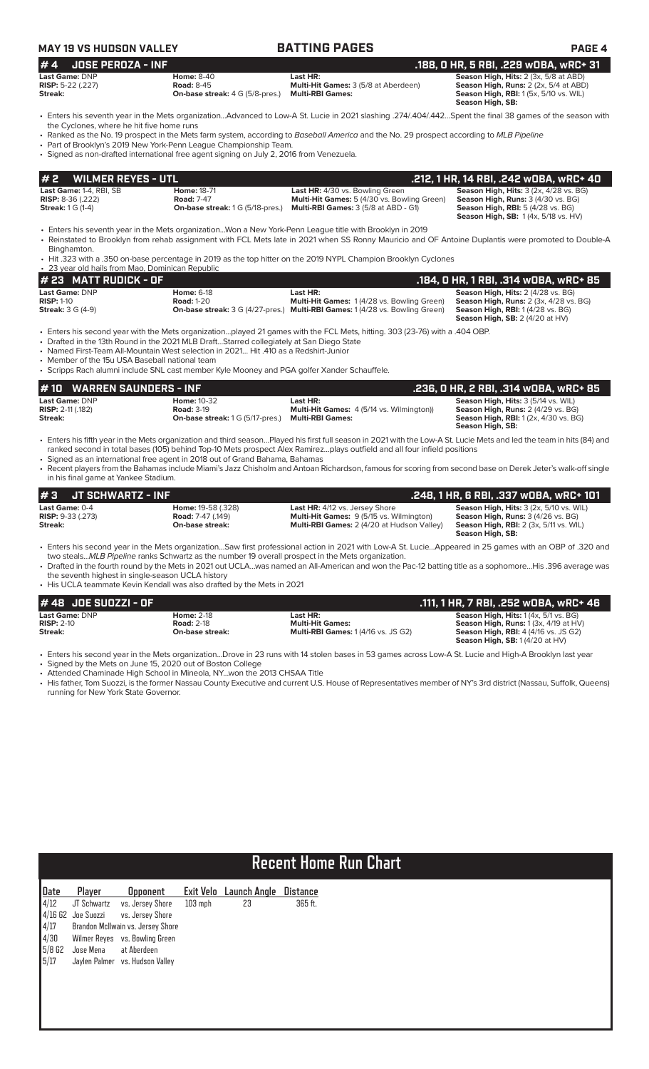| <b>MAY 19 VS HUDSON VALLEY</b>                                                    |                                                                                                                                                                                                                                                                                 | <b>BATTING PAGES</b>                                                                                                                                                                                                                                                                                                                                                                                                                                             | <b>PAGE 4</b>                                                                                                                                                                                            |
|-----------------------------------------------------------------------------------|---------------------------------------------------------------------------------------------------------------------------------------------------------------------------------------------------------------------------------------------------------------------------------|------------------------------------------------------------------------------------------------------------------------------------------------------------------------------------------------------------------------------------------------------------------------------------------------------------------------------------------------------------------------------------------------------------------------------------------------------------------|----------------------------------------------------------------------------------------------------------------------------------------------------------------------------------------------------------|
| <b>JOSE PEROZA - INF</b><br>#4                                                    |                                                                                                                                                                                                                                                                                 |                                                                                                                                                                                                                                                                                                                                                                                                                                                                  | .188, 0 HR, 5 RBI, .229 wOBA, wRC+ 31                                                                                                                                                                    |
| Last Game: DNP<br><b>RISP:</b> 5-22 (.227)<br>Streak:                             | <b>Home: 8-40</b><br><b>Road: 8-45</b><br>On-base streak: 4 G (5/8-pres.)                                                                                                                                                                                                       | Last HR:<br>Multi-Hit Games: 3 (5/8 at Aberdeen)<br><b>Multi-RBI Games:</b>                                                                                                                                                                                                                                                                                                                                                                                      | Season High, Hits: 2 (3x, 5/8 at ABD)<br>Season High, Runs: 2 (2x, 5/4 at ABD)<br><b>Season High, RBI:</b> 1 (5x, 5/10 vs. WIL)<br>Season High, SB:                                                      |
| the Cyclones, where he hit five home runs                                         | • Part of Brooklyn's 2019 New York-Penn League Championship Team.<br>· Signed as non-drafted international free agent signing on July 2, 2016 from Venezuela.                                                                                                                   | • Enters his seventh year in the Mets organizationAdvanced to Low-A St. Lucie in 2021 slashing .274/.404/.442Spent the final 38 games of the season with<br>• Ranked as the No. 19 prospect in the Mets farm system, according to Baseball America and the No. 29 prospect according to MLB Pipeline                                                                                                                                                             |                                                                                                                                                                                                          |
| <b>WILMER REYES - UTL</b><br>#2                                                   |                                                                                                                                                                                                                                                                                 |                                                                                                                                                                                                                                                                                                                                                                                                                                                                  | .212, 1 HR, 14 RBI, .242 WOBA, WRC+ 40                                                                                                                                                                   |
| Last Game: 1-4, RBI, SB<br><b>RISP:</b> $8-36$ (.222)<br><b>Streak:</b> 1 G (1-4) | <b>Home: 18-71</b><br><b>Road: 7-47</b><br><b>On-base streak:</b> 1 G (5/18-pres.)                                                                                                                                                                                              | Last HR: 4/30 vs. Bowling Green<br>Multi-Hit Games: 5 (4/30 vs. Bowling Green)<br>Multi-RBI Games: 3 (5/8 at ABD - G1)                                                                                                                                                                                                                                                                                                                                           | Season High, Hits: 3 (2x, 4/28 vs. BG)<br>Season High, Runs: 3 (4/30 vs. BG)<br><b>Season High, RBI: 5 (4/28 vs. BG)</b><br><b>Season High, SB: 1 (4x, 5/18 vs. HV)</b>                                  |
| Binghamton.                                                                       |                                                                                                                                                                                                                                                                                 | • Enters his seventh year in the Mets organizationWon a New York-Penn League title with Brooklyn in 2019<br>• Reinstated to Brooklyn from rehab assignment with FCL Mets late in 2021 when SS Ronny Mauricio and OF Antoine Duplantis were promoted to Double-A                                                                                                                                                                                                  |                                                                                                                                                                                                          |
| • 23 year old hails from Mao, Dominican Republic                                  |                                                                                                                                                                                                                                                                                 | • Hit .323 with a .350 on-base percentage in 2019 as the top hitter on the 2019 NYPL Champion Brooklyn Cyclones                                                                                                                                                                                                                                                                                                                                                  |                                                                                                                                                                                                          |
| # 23 MATT RUDICK - OF                                                             |                                                                                                                                                                                                                                                                                 |                                                                                                                                                                                                                                                                                                                                                                                                                                                                  | .184, 0 HR, 1 RBI, .314 wOBA, wRC+ 85                                                                                                                                                                    |
| Last Game: DNP<br><b>RISP: 1-10</b><br><b>Streak: 3 G (4-9)</b>                   | <b>Home: 6-18</b><br><b>Road: 1-20</b>                                                                                                                                                                                                                                          | Last HR:<br>Multi-Hit Games: 1 (4/28 vs. Bowling Green)<br>On-base streak: 3 G (4/27-pres.) Multi-RBI Games: 1 (4/28 vs. Bowling Green)                                                                                                                                                                                                                                                                                                                          | Season High, Hits: 2 (4/28 vs. BG)<br>Season High, Runs: 2 (3x, 4/28 vs. BG)<br><b>Season High, RBI:</b> 1 (4/28 vs. BG)<br><b>Season High, SB: 2 (4/20 at HV)</b>                                       |
| • Member of the 15u USA Baseball national team                                    | • Drafted in the 13th Round in the 2021 MLB DraftStarred collegiately at San Diego State<br>• Named First-Team All-Mountain West selection in 2021 Hit .410 as a Redshirt-Junior<br>· Scripps Rach alumni include SNL cast member Kyle Mooney and PGA golfer Xander Schauffele. | • Enters his second year with the Mets organizationplayed 21 games with the FCL Mets, hitting. 303 (23-76) with a .404 OBP.                                                                                                                                                                                                                                                                                                                                      |                                                                                                                                                                                                          |
| <b>WARREN SAUNDERS - INF</b><br># 10                                              |                                                                                                                                                                                                                                                                                 |                                                                                                                                                                                                                                                                                                                                                                                                                                                                  | .236, 0 HR, 2 RBI, .314 wOBA, wRC+ 85                                                                                                                                                                    |
| Last Game: DNP<br><b>RISP:</b> 2-11 (.182)<br>Streak:                             | <b>Home: 10-32</b><br><b>Road: 3-19</b><br><b>On-base streak:</b> 1 G (5/17-pres.)                                                                                                                                                                                              | Last HR:<br><b>Multi-Hit Games:</b> 4 (5/14 vs. Wilmington))<br><b>Multi-RBI Games:</b>                                                                                                                                                                                                                                                                                                                                                                          | Season High, Hits: 3 (5/14 vs. WIL)<br>Season High, Runs: 2 (4/29 vs. BG)<br>Season High, RBI: 1 (2x, 4/30 vs. BG)<br>Season High, SB:                                                                   |
| in his final game at Yankee Stadium.                                              | • Signed as an international free agent in 2018 out of Grand Bahama, Bahamas                                                                                                                                                                                                    | • Enters his fifth year in the Mets organization and third seasonPlayed his first full season in 2021 with the Low-A St. Lucie Mets and led the team in hits (84) and<br>ranked second in total bases (105) behind Top-10 Mets prospect Alex Ramirezplays outfield and all four infield positions<br>• Recent players from the Bahamas include Miami's Jazz Chisholm and Antoan Richardson, famous for scoring from second base on Derek Jeter's walk-off single |                                                                                                                                                                                                          |
| <b>JT SCHWARTZ - INF</b><br># 3                                                   |                                                                                                                                                                                                                                                                                 |                                                                                                                                                                                                                                                                                                                                                                                                                                                                  | .248, 1 HR, 6 RBI, .337 wOBA, wRC+ 101                                                                                                                                                                   |
| Last Game: 0-4<br><b>RISP: 9-33 (.273)</b><br>Streak:                             | Home: 19-58 (.328)<br><b>Road:</b> 7-47 (.149)<br>On-base streak:                                                                                                                                                                                                               | Last HR: 4/12 vs. Jersey Shore<br>Multi-Hit Games: 9 (5/15 vs. Wilmington)<br>Multi-RBI Games: 2 (4/20 at Hudson Valley)                                                                                                                                                                                                                                                                                                                                         | Season High, Hits: 3 (2x, 5/10 vs. WIL)<br>Season High, Runs: 3 (4/26 vs. BG)<br>Season High, RBI: 2 (3x, 5/11 vs. WIL)<br>Season High, SB:                                                              |
| the seventh highest in single-season UCLA history                                 | two stealsMLB Pipeline ranks Schwartz as the number 19 overall prospect in the Mets organization.<br>• His UCLA teammate Kevin Kendall was also drafted by the Mets in 2021                                                                                                     | • Enters his second year in the Mets organizationSaw first professional action in 2021 with Low-A St. LucieAppeared in 25 games with an OBP of .320 and<br>• Drafted in the fourth round by the Mets in 2021 out UCLAwas named an All-American and won the Pac-12 batting title as a sophomoreHis .396 average was                                                                                                                                               |                                                                                                                                                                                                          |
|                                                                                   |                                                                                                                                                                                                                                                                                 |                                                                                                                                                                                                                                                                                                                                                                                                                                                                  |                                                                                                                                                                                                          |
| #48 JOE SUOZZI - OF<br>Last Game: DNP<br><b>RISP: 2-10</b><br>Streak:             | <b>Home: 2-18</b><br><b>Road: 2-18</b><br>On-base streak:                                                                                                                                                                                                                       | Last HR:<br><b>Multi-Hit Games:</b><br><b>Multi-RBI Games: 1 (4/16 vs. JS G2)</b>                                                                                                                                                                                                                                                                                                                                                                                | .111, 1 HR, 7 RBI, .252 wOBA, wRC+ 46<br>Season High, Hits: 1(4x, 5/1 vs. BG)<br>Season High, Runs: 1 (3x, 4/19 at HV)<br><b>Season High, RBI: 4 (4/16 vs. JS G2)</b><br>Season High, SB: 1 (4/20 at HV) |
| running for New York State Governor.                                              | • Signed by the Mets on June 15, 2020 out of Boston College<br>• Attended Chaminade High School in Mineola, NYwon the 2013 CHSAA Title                                                                                                                                          | · Enters his second year in the Mets organizationDrove in 23 runs with 14 stolen bases in 53 games across Low-A St. Lucie and High-A Brooklyn last year<br>• His father, Tom Suozzi, is the former Nassau County Executive and current U.S. House of Representatives member of NY's 3rd district (Nassau, Suffolk, Queens)                                                                                                                                       |                                                                                                                                                                                                          |
|                                                                                   |                                                                                                                                                                                                                                                                                 |                                                                                                                                                                                                                                                                                                                                                                                                                                                                  |                                                                                                                                                                                                          |

# **Recent Home Run Chart**

| Date     | Player               | <b>Opponent</b>                   |           | Exit Velo Launch Angle Distance |         |
|----------|----------------------|-----------------------------------|-----------|---------------------------------|---------|
| 4/12     |                      | JT Schwartz vs. Jersey Shore      | $103$ mph | 23                              | 365 ft. |
|          | $4/16$ G2 Joe Suozzi | vs. Jersey Shore                  |           |                                 |         |
| 4/17     |                      | Brandon McIlwain vs. Jersey Shore |           |                                 |         |
| 4/30     |                      | Wilmer Reyes vs. Bowling Green    |           |                                 |         |
| $5/8$ G2 | Jose Mena            | at Aberdeen                       |           |                                 |         |
| 5/17     |                      | Jaylen Palmer vs. Hudson Valley   |           |                                 |         |
|          |                      |                                   |           |                                 |         |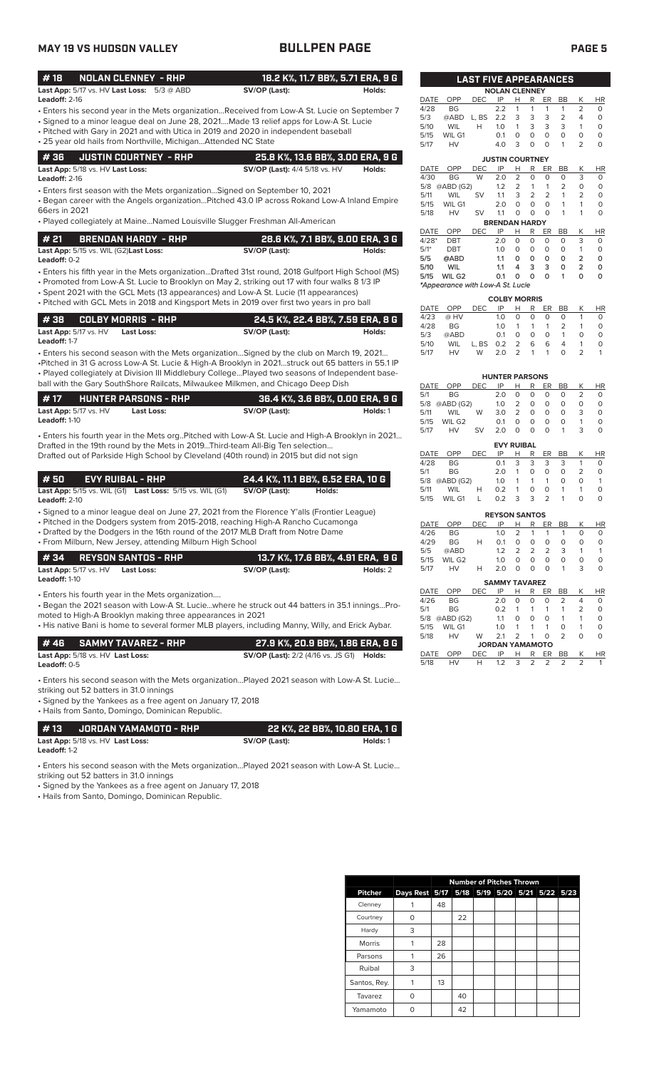# **MAY 19 VS HUDSON VALLEY BULLPEN PAGE PAGE 5**

| #18             | NOLAN CLENNEY - RHP                                          |               | 18.2 K%, 11.7 BB%, 5.71 ERA, 9 G |  |
|-----------------|--------------------------------------------------------------|---------------|----------------------------------|--|
|                 | <b>Last App:</b> $5/17$ vs. HV <b>Last Loss:</b> $5/3$ @ ABD | SV/OP (Last): | Holds:                           |  |
| Leadoff: $2-16$ |                                                              |               |                                  |  |

- Enters his second year in the Mets organization...Received from Low-A St. Lucie on September 7
- Signed to a minor league deal on June 28, 2021....Made 13 relief apps for Low-A St. Lucie • Pitched with Gary in 2021 and with Utica in 2019 and 2020 in independent baseball
- 25 year old hails from Northville, Michigan...Attended NC State

| 4 36     JUSTIN COURTNEY - RHP                 | 25.8 K%, 13.6 BB%, 3.00 ERA, 9 G     |        |
|------------------------------------------------|--------------------------------------|--------|
| <b>Last App:</b> 5/18 vs. HV <b>Last Loss:</b> | <b>SV/OP (Last):</b> 4/4 5/18 vs. HV | Holds: |

**Leadoff:** 2-16

• Enters first season with the Mets organization…Signed on September 10, 2021

• Began career with the Angels organization…Pitched 43.0 IP across Rokand Low-A Inland Empire 66ers in 2021

• Played collegiately at Maine…Named Louisville Slugger Freshman All-American

| # 21 | <b>BRENDAN HARDY - RHP</b>                           | 28.6 K%, 7.1 BB%, 9.00 ERA, 3 G |        |
|------|------------------------------------------------------|---------------------------------|--------|
|      | <b>Last App:</b> 5/15 vs. WIL (G2) <b>Last Loss:</b> | SV/OP (Last):                   | Holds: |

• Enters his fifth year in the Mets organization...Drafted 31st round, 2018 Gulfport High School (MS) **Leadoff:** 0-2

• Promoted from Low-A St. Lucie to Brooklyn on May 2, striking out 17 with four walks 8 1/3 IP

- Spent 2021 with the GCL Mets (13 appearances) and Low-A St. Lucie (11 appearances)
- Pitched with GCL Mets in 2018 and Kingsport Mets in 2019 over first two years in pro ball

|                                  | 1 # 38      COLBY MORRIS  - RHP | 24.5 K%, 22.4 BB%, 7.59 ERA, 8 G |        |  |  |  |  |
|----------------------------------|---------------------------------|----------------------------------|--------|--|--|--|--|
| <b>Last App:</b> $5/17$ vs. $HV$ | Last Loss:                      | SV/OP (Last):                    | Holds: |  |  |  |  |
| <b>Leadoff:</b> 1-7              |                                 |                                  |        |  |  |  |  |

• Enters his second season with the Mets organization…Signed by the club on March 19, 2021… •Pitched in 31 G across Low-A St. Lucie & High-A Brooklyn in 2021…struck out 65 batters in 55.1 IP • Played collegiately at Division III Middlebury College…Played two seasons of Independent baseball with the Gary SouthShore Railcats, Milwaukee Milkmen, and Chicago Deep Dish

| l #17                |                                  | <b>HUNTER PARSONS - RHP</b> | 36.4 K%. 3.6 BB%. 0.00 ERA. 9 G |          |
|----------------------|----------------------------------|-----------------------------|---------------------------------|----------|
|                      | <b>Last App:</b> $5/17$ vs. $HV$ | Last Loss:                  | SV/OP (Last):                   | Holds: 1 |
| <b>Leadoff: 1-10</b> |                                  |                             |                                 |          |

• Enters his fourth year in the Mets org..Pitched with Low-A St. Lucie and High-A Brooklyn in 2021… Drafted in the 19th round by the Mets in 2019...Third-team All-Big Ten selection… Drafted out of Parkside High School by Cleveland (40th round) in 2015 but did not sign

| <b>#50</b> | <b>EVY RUIBAL - RHP</b> |                                                                        |               | 24.4 K%, 11.1 BB%, 6.52 ERA, 10 G |
|------------|-------------------------|------------------------------------------------------------------------|---------------|-----------------------------------|
|            |                         | <b>Last App:</b> 5/15 vs. WIL (G1) <b>Last Loss:</b> 5/15 vs. WIL (G1) | SV/OP (Last): | Holds:                            |

**Leadoff:** 2-10

• Signed to a minor league deal on June 27, 2021 from the Florence Y'alls (Frontier League)

• Pitched in the Dodgers system from 2015-2018, reaching High-A Rancho Cucamonga

• Drafted by the Dodgers in the 16th round of the 2017 MLB Draft from Notre Dame • From Milburn, New Jersey, attending Milburn High School

| $#34$ REYSON SANTOS - RHP                      | 13.7 K%, 17.6 BB%, 4.91 ERA, 9 G |          |
|------------------------------------------------|----------------------------------|----------|
| <b>Last App:</b> $5/17$ vs. $HV$<br>Last Loss: | SV/OP (Last):                    | Holds: 2 |
| <b>Leadoff: 1-10</b>                           |                                  |          |

• Enters his fourth year in the Mets organization....

• Began the 2021 season with Low-A St. Lucie…where he struck out 44 batters in 35.1 innings…Promoted to High-A Brooklyn making three appearances in 2021

• His native Bani is home to several former MLB players, including Manny, Willy, and Erick Aybar.

|                     | # 46      SAMMY TAVAREZ - RHP .                | 27.9 K%, 20.9 BB%, 1.86 ERA, 8 G                        |  |
|---------------------|------------------------------------------------|---------------------------------------------------------|--|
|                     | <b>Last App:</b> 5/18 vs. HV <b>Last Loss:</b> | <b>SV/OP (Last):</b> 2/2 (4/16 vs. JS G1) <b>Holds:</b> |  |
| <b>Leadoff:</b> 0-5 |                                                |                                                         |  |

• Enters his second season with the Mets organization…Played 2021 season with Low-A St. Lucie…

striking out 52 batters in 31.0 innings • Signed by the Yankees as a free agent on January 17, 2018

• Hails from Santo, Domingo, Dominican Republic.

| l #13        | . JORDAN YAMAMOTO - RHP '        |               | , 22 K%, 22 BB%, 10.80 ERA, 1 G |
|--------------|----------------------------------|---------------|---------------------------------|
|              | Last App: 5/18 vs. HV Last Loss: | SV/OP (Last): | Holds: 1                        |
| Leadoff: 1-2 |                                  |               |                                 |

• Enters his second season with the Mets organization…Played 2021 season with Low-A St. Lucie…

striking out 52 batters in 31.0 innings

• Signed by the Yankees as a free agent on January 17, 2018

• Hails from Santo, Domingo, Dominican Republic.

|                |                                              | <b>Number of Pitches Thrown</b> |    |  |  |  |  |  |
|----------------|----------------------------------------------|---------------------------------|----|--|--|--|--|--|
| <b>Pitcher</b> | Days Rest 5/17 5/18 5/19 5/20 5/21 5/22 5/23 |                                 |    |  |  |  |  |  |
| Clenney        |                                              | 48                              |    |  |  |  |  |  |
| Courtney       | U                                            |                                 | 22 |  |  |  |  |  |
| Hardy          | 3                                            |                                 |    |  |  |  |  |  |
| Morris         |                                              | 28                              |    |  |  |  |  |  |
| Parsons        |                                              | 26                              |    |  |  |  |  |  |
| Ruibal         | 3                                            |                                 |    |  |  |  |  |  |
| Santos, Rey.   |                                              | 13                              |    |  |  |  |  |  |
| Tavarez        | U                                            |                                 | 40 |  |  |  |  |  |
| Yamamoto       |                                              |                                 | 42 |  |  |  |  |  |

| <b>DATE</b> | OPP                              | DEC        | IP                     | н              | R | ER | ВB | Κ              | HR        |
|-------------|----------------------------------|------------|------------------------|----------------|---|----|----|----------------|-----------|
| 4/28        | BG                               |            | 2.2                    | 1              | 1 | 1  | 1  | 2              | 0         |
| 5/3         | @ABD                             | L, BS      | 2.2                    | 3              | 3 | 3  | 2  | 4              | 0         |
| 5/10        | <b>WIL</b>                       | н          | 1.0                    | 1              | 3 | 3  | 3  | 1              | 0         |
| 5/15        | WIL G1                           |            | 0.1                    | 0              | 0 | 0  | 0  | 0              | 0         |
| 5/17        | HV                               |            | 4.0                    | 3              | 0 | 0  | 1  | 2              | 0         |
|             |                                  |            | <b>JUSTIN COURTNEY</b> |                |   |    |    |                |           |
| <b>DATE</b> | OPP                              | <b>DEC</b> | IP                     | н              | R | ER | ВB | Κ              | HR        |
| 4/30        | <b>BG</b>                        | W          | 2.0                    | $\overline{2}$ | 0 | 0  | 0  | 3              | 0         |
| 5/8         | @ABD (G2)                        |            | 1.2                    | 2              | 1 | 1  | 2  | 0              | 0         |
| 5/11        | <b>WIL</b>                       | SV         | 1.1                    | 3              | 2 | 2  | 1  | 2              | 0         |
| 5/15        | WIL G1                           |            | 2.0                    | 0              | 0 | 0  | 1  | 1              | 0         |
| 5/18        | HV                               | SV         | 1.1                    | 0              | 0 | O  | 1  | 1              | 0         |
|             |                                  |            | <b>BRENDAN HARDY</b>   |                |   |    |    |                |           |
| <b>DATE</b> | OPP                              | <b>DEC</b> | IP                     | н              | R | ER | BB | Κ              | <b>HR</b> |
| $4/28*$     | DBT                              |            | 2.0                    | 0              | 0 | 0  | 0  | 3              | 0         |
| $5/1*$      | <b>DBT</b>                       |            | 1.0                    | 0              | 0 | 0  | 0  | 1              | 0         |
| 5/5         | @ABD                             |            | 1.1                    | 0              | ٥ | ٥  | О  | 2              | 0         |
| 5/10        | WIL                              |            | 1.1                    | 4              | 3 | з  | 0  | $\overline{2}$ | 0         |
| 5/15        | WIL G2                           |            | 0.1                    | ٥              | ٥ | ٥  | 1  | ٥              | 0         |
|             | *Appearance with Low-A St. Lucie |            |                        |                |   |    |    |                |           |
|             |                                  |            |                        |                |   |    |    |                |           |

**LAST FIVE APPEARANCES**

**NOLAN CLENNEY** 

| <b>COLBY MORRIS</b> |            |       |            |               |   |    |               |   |           |
|---------------------|------------|-------|------------|---------------|---|----|---------------|---|-----------|
| DATE                | <b>OPP</b> | DEC.  | IP         | н             | R | ER | BB            | К | <b>HR</b> |
| 4/23                | @ HV       |       | 1.0        | O             | 0 | 0  | O             |   | O         |
| 4/28                | BG.        |       | 10         |               |   |    | $\mathcal{P}$ |   | O         |
| 5/3                 | @ABD       |       | $\Omega$ 1 | $\Omega$      | 0 | O  | 1             | O | O         |
| 5/10                | WIL        | L. BS | 0.2        | 2             | 6 | 6  | 4             |   | O         |
| 5/17                | <b>HV</b>  | W     | 2.0        | $\mathcal{P}$ | 1 | 1  | O             |   |           |

| <b>HUNTER PARSONS</b> |                    |            |     |               |   |    |    |   |    |
|-----------------------|--------------------|------------|-----|---------------|---|----|----|---|----|
| DATE                  | OPP                | <b>DEC</b> | IP  | н             | R | ER | ВB | K | ΗR |
| 5/1                   | BG                 |            | 2 0 | Ω             | 0 | Ο  | O  | 2 | O  |
| 5/8                   | @ABD (G2)          |            | 1.0 | 2             | Ο | O  | O  | O | O  |
| 5/11                  | WIL                | W          | 3.0 | $\mathcal{P}$ | 0 | O  | O  | 3 | O  |
| 5/15                  | WIL G <sub>2</sub> |            | 0.1 | O             | O | O  | O  | 1 | O  |
| 5/17                  | <b>HV</b>          | <b>SV</b>  | 20  | O             | O | O  |    | 3 | O  |
| <b>EVY RUIBAL</b>     |                    |            |     |               |   |    |    |   |    |

| DATE | <b>OPP</b>    | DEC.         | IP            | н                       | R.    | ER BB         |    | Κ             | <b>HR</b> |
|------|---------------|--------------|---------------|-------------------------|-------|---------------|----|---------------|-----------|
| 4/28 | BG.           |              | O.1           | 3                       | 3     | 3             | -3 |               |           |
| 5/1  | BG.           |              | 2.0           | 1                       | 0     | O             | 0  | $\mathcal{L}$ |           |
|      | 5/8 @ABD (G2) |              | 1.0           |                         | 1 1 1 |               | O  | O             |           |
| 5/11 | WIL           | н            | 0.2           | 1                       | Ο     | 0             |    | 1             |           |
| 5/15 | WIL G1        | $\mathbf{L}$ | $0.2^{\circ}$ | $\overline{\mathbf{3}}$ | 3     | $\mathcal{P}$ | -1 | O             |           |

| <b>REYSON SANTOS</b> |           |     |            |               |               |               |    |   |          |
|----------------------|-----------|-----|------------|---------------|---------------|---------------|----|---|----------|
| DATE                 | OPP       | DEC | ΙP         | н             | R             | ER            | ВB | Κ | HR       |
| 4/26                 | <b>BG</b> |     | 1.0        | 2             | 1             |               |    |   | O        |
| 4/29                 | <b>BG</b> | н   | $\Omega$ 1 | O             | $\Omega$      | O             | Ω  | Ω | O        |
| 5/5                  | @ABD      |     | 12         | $\mathcal{P}$ | $\mathcal{P}$ | $\mathcal{P}$ | 3  |   |          |
| 5/15                 | WIL G2    |     | 10         | O             | O             | O             | ი  | O | O        |
| 5/17                 | HV        | н   | 2 O        | O             | O             | O             |    | з | $\left($ |
|                      |           |     |            |               |               |               |    |   |          |

|                  |           |            | <b>SAMMY TAVAREZ</b>   |   |          |               |               |                |           |
|------------------|-----------|------------|------------------------|---|----------|---------------|---------------|----------------|-----------|
| DATE             | OPP       | <b>DEC</b> | IP                     | н | R        | ER            | BB            | Κ              | <b>HR</b> |
| 4/26             | <b>BG</b> |            | 2.0                    | Ο | $\Omega$ | 0             | 2             | 4              | 0         |
| 5/1<br><b>BG</b> |           |            | 0.2                    |   | 1        | 1             | 1             | $\overline{2}$ | 0         |
| 5/8              | @ABD (G2) | 1.1        | Ο                      | O | O        | 1             | 1             | 0              |           |
| 5/15             | WIL G1    |            | 1.0                    | 1 | 1        | 1             | O             | 1              | 0         |
| 5/18             | HV<br>W   |            | 2.1                    | 2 | 1        | O             | $\mathcal{P}$ | O              | $\Omega$  |
|                  |           |            | <b>JORDAN YAMAMOTO</b> |   |          |               |               |                |           |
| <b>DATE</b>      | OPP       | <b>DEC</b> | IP                     | н | R        | ER            | BB            | К              | <b>HR</b> |
| 5/18             |           | н          | 1.2                    | 3 | 2        | $\mathcal{P}$ | 2             | 2              |           |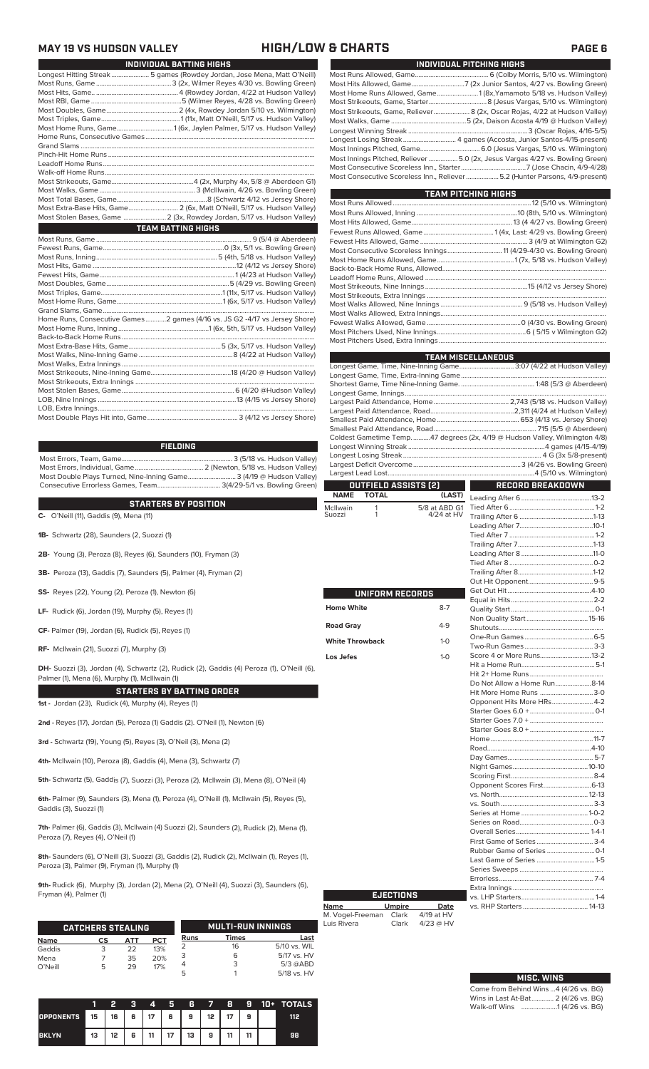# **MAY 19 VS HUDSON VALLEY HIGH/LOW & CHARTS PAGE 6**

L

| INDIVIDUAL BATTING HIGHS                                                 |
|--------------------------------------------------------------------------|
| Longest Hitting Streak  5 games (Rowdey Jordan, Jose Mena, Matt O'Neill) |
|                                                                          |
|                                                                          |
|                                                                          |
|                                                                          |
|                                                                          |
| Most Home Runs, Game1 (6x, Jaylen Palmer, 5/17 vs. Hudson Valley)        |
|                                                                          |
|                                                                          |
|                                                                          |
|                                                                          |
|                                                                          |
|                                                                          |
|                                                                          |
|                                                                          |
| Most Extra-Base Hits, Game 2 (6x, Matt O'Neill, 5/17 vs. Hudson Valley)  |
| Most Stolen Bases, Game  2 (3x, Rowdey Jordan, 5/17 vs. Hudson Valley)   |
|                                                                          |
| <b>TEAM BATTING HIGHS</b>                                                |
|                                                                          |
|                                                                          |
|                                                                          |
|                                                                          |
|                                                                          |
|                                                                          |
|                                                                          |
|                                                                          |
|                                                                          |
|                                                                          |

Most Errors, Team, Game................................................................. 3 (5/18 vs. Hudson Valley) Most Errors, Individual, Game........................................ 2 (Newton, 5/18 vs. Hudson Valley) Most Double Plays Turned, Nine-Inning Game............................ 3 (4/19 @ Hudson Valley) Consecutive Errorless Games, Team..................................... 3(4/29-5/1 vs. Bowling Green) **FIELDING**

### **STARTERS BY POSITION**

**STARTERS BY PUSITION**<br>
C- O'Neill (11), Gaddis (9), Mena (11)<br>
St

- **1B-** Schwartz (28), Saunders (2, Suozzi (1)
- **2B-** Young (3), Peroza (8), Reyes (6), Saunders (10), Fryman (3)
- **3B-** Peroza (13), Gaddis (7), Saunders (5), Palmer (4), Fryman (2)
- **SS-** Reyes (22), Young (2), Peroza (1), Newton (6)
- **LF-** Rudick (6), Jordan (19), Murphy (5), Reyes (1)
- **CF-** Palmer (19), Jordan (6), Rudick (5), Reyes (1)
- **RF-** McIlwain (21), Suozzi (7), Murphy (3)

**DH-** Suozzi (3), Jordan (4), Schwartz (2), Rudick (2), Gaddis (4) Peroza (1), O'Neill (6), Palmer (1), Mena (6), Murphy (1), McIllwain (1)

### **STARTERS BY BATTING ORDER**

**1st -** Jordan (23), Rudick (4), Murphy (4), Reyes (1)

**2nd -** Reyes (17), Jordan (5), Peroza (1) Gaddis (2). O'Neil (1), Newton (6)

**3rd -** Schwartz (19), Young (5), Reyes (3), O'Neil (3), Mena (2)

**4th-** McIlwain (10), Peroza (8), Gaddis (4), Mena (3), Schwartz (7)

**5th-** Schwartz (5), Gaddis (7), Suozzi (3), Peroza (2), McIlwain (3), Mena (8), O'Neil (4)

**6th-** Palmer (9), Saunders (3), Mena (1), Peroza (4), O'Neill (1), McIlwain (5), Reyes (5), Gaddis (3), Suozzi (1)

**7th-** Palmer (6), Gaddis (3), McIlwain (4) Suozzi (2), Saunders (2), Rudick (2), Mena (1), Peroza (7), Reyes (4), O'Neil (1)

**8th-** Saunders (6), O'Neill (3), Suozzi (3), Gaddis (2), Rudick (2), McIlwain (1), Reyes (1), Peroza (3), Palmer (9), Fryman (1), Murphy (1)

**9th-** Rudick (6), Murphy (3), Jordan (2), Mena (2), O'Neill (4), Suozzi (3), Saunders (6), Fryman (4), Palmer (1)

|             | <b>CATCHERS STEALING</b> |     |            |      | <b>MULTI-RUN INNINGS</b> |              |
|-------------|--------------------------|-----|------------|------|--------------------------|--------------|
| <b>Name</b> | СS                       | ATT | <b>PCT</b> | Runs | Times                    | Last         |
| Gaddis      | 3                        | 22  | 13%        |      | 16                       | 5/10 vs. WIL |
| Mena        |                          | 35  | 20%        |      | 6                        | 5/17 vs. HV  |
| O'Neill     | 5                        | 29  | 17%        |      |                          | $5/3$ @ABD   |
|             |                          |     |            |      |                          | 5/18 vs. HV  |

|                  |                   | 2                                | R | 4  | Б  | 6             | $\sim$          | -8 | H | $\blacksquare$ | <b>TOTALS</b> |
|------------------|-------------------|----------------------------------|---|----|----|---------------|-----------------|----|---|----------------|---------------|
| <b>OPPONENTS</b> | $\blacksquare$ 15 | $\frac{1}{16}$ 16 $\frac{1}{16}$ | 6 |    |    | `  17   6   9 | 12 <sup>1</sup> | 17 | 9 |                | 112           |
| <b>BKLYN</b>     | 13                | 12                               | 6 | 11 | 17 | 13            | 9               | 11 |   |                | 98            |

| INDIVIDUAL PITCHING HIGHS                                                     |
|-------------------------------------------------------------------------------|
|                                                                               |
|                                                                               |
| Most Home Runs Allowed, Game 1(8x, Yamamoto 5/18 vs. Hudson Valley)           |
|                                                                               |
| Most Strikeouts, Game, Reliever 8 (2x, Oscar Rojas, 4/22 at Hudson Valley)    |
|                                                                               |
|                                                                               |
| Longest Losing Streak 4 games (Accosta, Junior Santos-4/15-present)           |
|                                                                               |
| Most Innings Pitched, Reliever  5.0 (2x, Jesus Vargas 4/27 vs. Bowling Green) |
|                                                                               |
| Most Consecutive Scoreless Inn., Reliever 5.2 (Hunter Parsons, 4/9-present)   |

| <b>TEAM PITCHING HIGHS</b>                                          |  |
|---------------------------------------------------------------------|--|
|                                                                     |  |
|                                                                     |  |
|                                                                     |  |
|                                                                     |  |
|                                                                     |  |
| Most Consecutive Scoreless Innings 11 (4/29-4/30 vs. Bowling Green) |  |
|                                                                     |  |
|                                                                     |  |
|                                                                     |  |
|                                                                     |  |
|                                                                     |  |
|                                                                     |  |
|                                                                     |  |
|                                                                     |  |
|                                                                     |  |
|                                                                     |  |

|                        |                 |                      | <b>TEAM MISCELLANEOUS</b>                                                    |  |  |  |  |
|------------------------|-----------------|----------------------|------------------------------------------------------------------------------|--|--|--|--|
|                        |                 |                      | Longest Game, Time, Nine-Inning Game 3:07 (4/22 at Hudson Valley)            |  |  |  |  |
|                        |                 |                      |                                                                              |  |  |  |  |
|                        |                 |                      |                                                                              |  |  |  |  |
|                        |                 |                      |                                                                              |  |  |  |  |
|                        |                 |                      |                                                                              |  |  |  |  |
|                        |                 |                      |                                                                              |  |  |  |  |
|                        |                 |                      |                                                                              |  |  |  |  |
|                        |                 |                      |                                                                              |  |  |  |  |
|                        |                 |                      | Coldest Gametime Temp. 47 degrees (2x, 4/19 @ Hudson Valley, Wilmington 4/8) |  |  |  |  |
|                        |                 |                      |                                                                              |  |  |  |  |
|                        |                 |                      |                                                                              |  |  |  |  |
|                        |                 |                      |                                                                              |  |  |  |  |
|                        |                 |                      |                                                                              |  |  |  |  |
|                        |                 | OUTFIELD ASSISTS (2) | <b>RECORD BREAKDOWN</b><br>and the second                                    |  |  |  |  |
| <b>NAME</b>            | <b>TOTAL</b>    | (LAST)               |                                                                              |  |  |  |  |
| McIlwain               | 1               | 5/8 at ABD G1        |                                                                              |  |  |  |  |
| Suozzi                 | 1               | 4/24 at HV           |                                                                              |  |  |  |  |
|                        |                 |                      |                                                                              |  |  |  |  |
|                        |                 |                      |                                                                              |  |  |  |  |
|                        |                 |                      |                                                                              |  |  |  |  |
|                        |                 |                      |                                                                              |  |  |  |  |
|                        |                 |                      |                                                                              |  |  |  |  |
|                        |                 |                      |                                                                              |  |  |  |  |
|                        |                 |                      |                                                                              |  |  |  |  |
|                        | UNIFORM RECORDS |                      |                                                                              |  |  |  |  |
|                        |                 | $8 - 7$              |                                                                              |  |  |  |  |
| <b>Home White</b>      |                 |                      |                                                                              |  |  |  |  |
| <b>Road Gray</b>       |                 | $4 - 9$              |                                                                              |  |  |  |  |
|                        |                 |                      |                                                                              |  |  |  |  |
| <b>White Throwback</b> |                 | $1 - 0$              |                                                                              |  |  |  |  |
|                        |                 |                      | Score 4 or More Runs13-2                                                     |  |  |  |  |
| Los Jefes              |                 | $1-0$                |                                                                              |  |  |  |  |
|                        |                 |                      |                                                                              |  |  |  |  |
|                        |                 |                      | Do Not Allow a Home Run8-14                                                  |  |  |  |  |
|                        |                 |                      | Hit More Home Runs 3-0                                                       |  |  |  |  |
|                        |                 |                      | Opponent Hits More HRs 4-2                                                   |  |  |  |  |
|                        |                 |                      |                                                                              |  |  |  |  |
|                        |                 |                      |                                                                              |  |  |  |  |
|                        |                 |                      |                                                                              |  |  |  |  |
|                        |                 |                      |                                                                              |  |  |  |  |
|                        |                 |                      |                                                                              |  |  |  |  |
|                        |                 |                      |                                                                              |  |  |  |  |
|                        |                 |                      |                                                                              |  |  |  |  |
|                        |                 |                      |                                                                              |  |  |  |  |
|                        |                 |                      | Opponent Scores First6-13                                                    |  |  |  |  |
|                        |                 |                      |                                                                              |  |  |  |  |
|                        |                 |                      |                                                                              |  |  |  |  |
|                        |                 |                      |                                                                              |  |  |  |  |
|                        |                 |                      |                                                                              |  |  |  |  |
|                        |                 |                      |                                                                              |  |  |  |  |
|                        |                 |                      |                                                                              |  |  |  |  |
|                        |                 |                      |                                                                              |  |  |  |  |
|                        |                 |                      |                                                                              |  |  |  |  |
|                        |                 |                      |                                                                              |  |  |  |  |
|                        |                 |                      | Franks 7-4                                                                   |  |  |  |  |

vs. LHP Starters

|                  | <b>EJECTIONS</b> |             |
|------------------|------------------|-------------|
| <b>Name</b>      | <b>Umpire</b>    | Date        |
| M. Vogel-Freeman | Clark            | 4/19 at HV  |
| Luis Rivera      | Clark            | $4/23$ @ HV |

| <b>MISC. WINS</b>                     |
|---------------------------------------|
| Come from Behind Wins 4 (4/26 vs. BG) |
| Wins in Last At-Bat 2 (4/26 vs. BG)   |
|                                       |

Extra Innings .....................................................

vs. RHP Starters ...................................... 14-13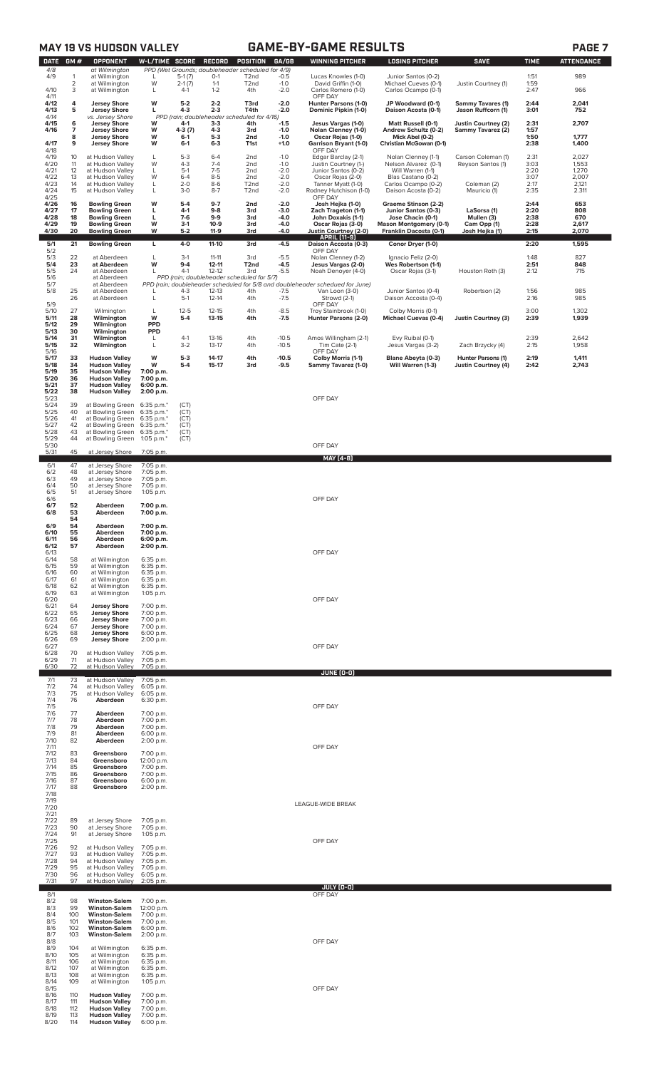|                                       |                     | <b>MAY 19 VS HUDSON VALLEY</b>                                                                               |                                        |                                    |                                        |                                                                                    |                                      | <b>GAME-BY-GAME RESULTS</b>                                                                                               |                                                                                          |                                                  |                              | PAGE <sub>7</sub>        |
|---------------------------------------|---------------------|--------------------------------------------------------------------------------------------------------------|----------------------------------------|------------------------------------|----------------------------------------|------------------------------------------------------------------------------------|--------------------------------------|---------------------------------------------------------------------------------------------------------------------------|------------------------------------------------------------------------------------------|--------------------------------------------------|------------------------------|--------------------------|
| <b>DATE</b><br>4/8<br>4/9             | GM#<br>1            | <b>OPPONENT</b><br>at Wilmington<br>at Wilmington                                                            | <b>W-L/TIME SCORE</b><br>L             | $5-1(7)$                           | RECORD<br>$0-1$                        | POSITION<br>PPD (Wet Grounds; doubleheader scheduled for 4/9)<br>T <sub>2</sub> nd | GA/GB<br>$-0.5$                      | <b>WINNING PITCHER</b><br>Lucas Knowles (1-0)                                                                             | <b>LOSING PITCHER</b><br>Junior Santos (0-2)                                             | <b>SAVE</b>                                      | <b>TIME</b><br>1:51          | <b>ATTENDANCE</b><br>989 |
| 4/10                                  | $\overline{2}$<br>3 | at Wilmington<br>at Wilmington                                                                               | W<br>L                                 | $2-1(7)$<br>$4-1$                  | $1 - 1$<br>$1 - 2$                     | T <sub>2</sub> nd<br>4th                                                           | $-1.0$<br>$-2.0$                     | David Griffin (1-0)<br>Carlos Romero (1-0)                                                                                | Michael Cuevas (0-1)<br>Carlos Ocampo (0-1)                                              | Justin Courtney (1)                              | 1:59<br>2:47                 | 966                      |
| 4/11<br>4/12<br>4/13                  | 4<br>5              | <b>Jersey Shore</b><br><b>Jersey Shore</b>                                                                   | W<br>L                                 | $5-2$<br>$4 - 3$                   | $2 - 2$<br>$2 - 3$                     | T3rd<br>T4th                                                                       | $-2.0$<br>$-2.0$                     | OFF DAY<br>Hunter Parsons (1-0)<br>Dominic Pipkin (1-0)                                                                   | JP Woodward (0-1)<br>Daison Acosta (0-1)                                                 | <b>Sammy Tavares (1)</b><br>Jason Ruffcorn (1)   | 2:44<br>3:01                 | 2,041<br>752             |
| 4/14<br>4/15<br>4/16<br>4/17          | 6<br>7<br>8<br>9    | vs. Jersey Shore<br><b>Jersey Shore</b><br><b>Jersey Shore</b><br><b>Jersey Shore</b><br><b>Jersey Shore</b> | W<br>W<br>W<br>W                       | 4-1<br>4-3 (7)<br>$6-1$<br>$6 - 1$ | $3 - 3$<br>$4 - 3$<br>$5-3$<br>$6 - 3$ | PPD (rain; doubleheader scheduled for 4/16)<br>4th<br>3rd<br>2nd<br>T1st           | $-1.5$<br>$-1.0$<br>$-1.0$<br>$+1.0$ | Jesus Vargas (1-0)<br>Nolan Clenney (1-0)<br>Oscar Rojas (1-0)<br><b>Garrison Bryant (1-0)</b>                            | Matt Russell (0-1)<br>Andrew Schultz (0-2)<br>Mick Abel (0-2)<br>Christian McGowan (0-1) | Justin Courtney (2)<br>Sammy Tavarez (2)         | 2:31<br>1:57<br>1:50<br>2:38 | 2,707<br>1,777<br>1,400  |
| 4/18<br>4/19                          | 10                  | at Hudson Valley                                                                                             | L                                      | $5 - 3$                            | $6 - 4$                                | 2nd                                                                                | $-1.0$                               | OFF DAY<br>Edgar Barclay (2-1)                                                                                            | Nolan Clenney (1-1)                                                                      | Carson Coleman (1)                               | 2:31                         | 2,027                    |
| 4/20<br>4/21<br>4/22                  | 11<br>12<br>13      | at Hudson Valley<br>at Hudson Valley<br>at Hudson Valley                                                     | W<br>L<br>W                            | $4 - 3$<br>$5-1$<br>$6 - 4$        | $7 - 4$<br>$7-5$<br>$8-5$              | 2nd<br>2nd<br>2nd                                                                  | $-1.0$<br>$-2.0$<br>$-2.0$           | Justin Courtney (1-)<br>Junior Santos (0-2)<br>Oscar Rojas (2-0)                                                          | Nelson Alvarez (0-1)<br>Will Warren (1-1)<br>Blas Castano (0-2)                          | Reyson Santos (1)                                | 3:03<br>2:20<br>3:07         | 1,553<br>1,270<br>2,007  |
| 4/23<br>4/24<br>4/25                  | 14<br>15            | at Hudson Valley<br>at Hudson Valley                                                                         | L<br>L                                 | $2 - 0$<br>$3 - 0$                 | $8-6$<br>$8 - 7$                       | T <sub>2</sub> nd<br>T <sub>2</sub> nd                                             | $-2.0$<br>$-2.0$                     | Tanner Myatt (1-0)<br>Rodney Hutchison (1-0)<br>OFF DAY                                                                   | Carlos Ocampo (0-2)<br>Daison Acosta (0-2)                                               | Coleman (2)<br>Mauricio (1)                      | 2:17<br>2:35                 | 2,121<br>2.311           |
| 4/26<br>4/27<br>4/28                  | 16<br>17<br>18      | <b>Bowling Green</b><br><b>Bowling Green</b><br><b>Bowling Green</b>                                         | W<br>L<br>L                            | $5-4$<br>$4-1$<br>$7-6$            | $9-7$<br>$9 - 8$<br>$9-9$              | 2nd<br>3rd<br>3rd                                                                  | $-2.0$<br>$-3.0$<br>-4.0             | Josh Hejka (1-0)<br>Zach Trageton (1-1)<br>John Doxakis (1-1)                                                             | Graeme Stinson (2-2)<br>Junior Santos (0-3)<br>Jose Chacin (0-1)                         | LaSorsa (1)<br>Mullen (3)                        | 2:44<br>2:20<br>2:38         | 653<br>808<br>670        |
| 4/29<br>4/30                          | 19<br>20            | <b>Bowling Green</b><br><b>Bowling Green</b>                                                                 | W<br>W                                 | $3-1$<br>$5 - 2$                   | $10-9$<br>$11-9$                       | 3rd<br>3rd                                                                         | -4.0<br>-4.0                         | Oscar Rojas (3-0)<br>Justin Courtney (2-0)<br><b>APRIL [11-9]</b>                                                         | <b>Mason Montgomery (0-1)</b><br>Franklin Dacosta (0-1)                                  | Cam Opp (1)<br>Josh Hejka (1)                    | 2:28<br>2:15                 | 2,617<br>2,070           |
| 5/1<br>5/2<br>5/3                     | 21<br>22            | <b>Bowling Green</b><br>at Aberdeen                                                                          | L<br>L                                 | $4 - 0$<br>$3-1$                   | $11-10$<br>$11 - 11$                   | 3rd<br>3rd                                                                         | $-4.5$<br>$-5.5$                     | Daison Accosta (0-3)<br>OFF DAY<br>Nolan Clenney (1-2)                                                                    | Conor Dryer (1-0)<br>Ignacio Feliz (2-0)                                                 |                                                  | 2:20<br>1:48                 | 1,595<br>827             |
| 5/4<br>$\frac{5}{5}$<br>5/7           | 23<br>24            | at Aberdeen<br>at Aberdeen<br>at Aberdeen<br>at Aberdeen                                                     | W<br>$\mathbf{I}$                      | $9 - 4$<br>$4-1$                   | $12 - 11$<br>$12 - 12$                 | T <sub>2nd</sub><br>3rd<br>PPD (rain; doubleheader scheduled for 5/7)              | $-4.5$<br>$-5.5$                     | Jesus Vargas (2-0)<br>Noah Denoyer (4-0)<br>PPD (rain; doubleheader scheduled for 5/8 and doubleheader schedued for June) | Wes Robertson (1-1)<br>Oscar Rojas (3-1)                                                 | Houston Roth (3)                                 | 2:51<br>2:12                 | 848<br>715               |
| 5/8<br>5/9                            | 25<br>26            | at Aberdeen<br>at Aberdeen                                                                                   | L                                      | $4-3$<br>$5-1$                     | 12-13<br>$12 - 14$                     | 4th<br>4th                                                                         | $-7.5$<br>$-7.5$                     | Van Loon (3-0)<br>Strowd (2-1)<br>OFF DAY                                                                                 | Junior Santos (0-4)<br>Daison Accosta (0-4)                                              | Robertson (2)                                    | 1:56<br>2:16                 | 985<br>985               |
| 5/10<br>5/11<br>5/12                  | 27<br>28<br>29      | Wilmington<br>Wilmington<br>Wilmington                                                                       | L<br>W<br><b>PPD</b>                   | $12 - 5$<br>$5 - 4$                | $12 - 15$<br>$13 - 15$                 | 4th<br>4th                                                                         | $-8.5$<br>$-7.5$                     | Troy Stainbrook (1-0)<br>Hunter Parsons (2-0)                                                                             | Colby Morris (0-1)<br><b>Michael Cuevas (0-4)</b>                                        | <b>Justin Courtney (3)</b>                       | 3:00<br>2:39                 | 1,302<br>1,939           |
| 5/13<br>5/14<br>5/15                  | 30<br>31<br>32      | Wilmington<br>Wilmington<br>Wilmington                                                                       | <b>PPD</b><br>L<br>L                   | $4-1$<br>$3-2$                     | 13-16<br>$13-17$                       | 4th<br>4th                                                                         | $-10.5$<br>$-10.5$                   | Amos Willingham (2-1)<br>Tim Cate (2-1)                                                                                   | Evy Ruibal (0-1)<br>Jesus Vargas (3-2)                                                   | Zach Brzycky (4)                                 | 2:39<br>2:15                 | 2,642<br>1,958           |
| 5/16<br>5/17<br>5/18<br>5/19          | 33<br>34<br>35      | <b>Hudson Valley</b><br><b>Hudson Valley</b><br><b>Hudson Valley</b>                                         | W<br>W<br>7:00 p.m.                    | $5-3$<br>$5 - 4$                   | $14-17$<br>15-17                       | 4th<br>3rd                                                                         | $-10.5$<br>-9.5                      | OFF DAY<br>Colby Morris (1-1)<br>Sammy Tavarez (1-0)                                                                      | <b>Blane Abeyta (0-3)</b><br>Will Warren (1-3)                                           | Hunter Parsons (1)<br><b>Justin Courtney (4)</b> | 2:19<br>2:42                 | 1,411<br>2,743           |
| 5/20<br>5/21<br>5/22                  | 36<br>37<br>38      | <b>Hudson Valley</b><br><b>Hudson Valley</b><br><b>Hudson Valley</b>                                         | 7:00 p.m.<br>6:00 p.m.<br>2:00 p.m.    |                                    |                                        |                                                                                    |                                      |                                                                                                                           |                                                                                          |                                                  |                              |                          |
| 5/23<br>5/24<br>5/25                  | 39<br>40            | at Bowling Green<br>at Bowling Green                                                                         | 6:35 p.m.*<br>6:35 p.m.*               | (CT)<br>(CT)                       |                                        |                                                                                    |                                      | OFF DAY                                                                                                                   |                                                                                          |                                                  |                              |                          |
| 5/26<br>5/27<br>5/28                  | 41<br>42<br>43      | at Bowling Green<br>at Bowling Green<br>at Bowling Green                                                     | 6:35 p.m.*<br>6:35 p.m.*<br>6:35 p.m.* | (CT)<br>(CT)<br>(CT)               |                                        |                                                                                    |                                      |                                                                                                                           |                                                                                          |                                                  |                              |                          |
| 5/29<br>5/30<br>5/31                  | 44<br>45            | at Bowling Green<br>at Jersey Shore                                                                          | 1:05 p.m.*<br>7:05 p.m.                | (CT)                               |                                        |                                                                                    |                                      | OFF DAY                                                                                                                   |                                                                                          |                                                  |                              |                          |
| 6/1                                   | 47                  | at Jersey Shore                                                                                              | 7:05 p.m.<br>7:05 p.m.                 |                                    |                                        |                                                                                    |                                      | <u>MAY [4-B]</u>                                                                                                          |                                                                                          |                                                  |                              |                          |
| 6/2<br>6/3<br>$6/4$<br>$6/5$<br>$6/6$ | 48<br>49<br>50      | at Jersey Shore<br>at Jersey Shore<br>at Jersey Shore                                                        | 7:05 p.m.<br>7:05 p.m.                 |                                    |                                        |                                                                                    |                                      |                                                                                                                           |                                                                                          |                                                  |                              |                          |
| 6/7                                   | 51<br>52            | at Jersey Shore<br>Aberdeen                                                                                  | 1:05 p.m.<br>7:00 p.m.                 |                                    |                                        |                                                                                    |                                      | OFF DAY                                                                                                                   |                                                                                          |                                                  |                              |                          |
| 6/8<br>6/9                            | 53<br>54<br>54      | Aberdeen<br>Aberdeen                                                                                         | 7:00 p.m.<br>7:00 p.m.                 |                                    |                                        |                                                                                    |                                      |                                                                                                                           |                                                                                          |                                                  |                              |                          |
| 6/10<br>6/11<br>6/12                  | 55<br>56<br>57      | Aberdeen<br>Aberdeen<br>Aberdeen                                                                             | 7:00 p.m.<br>6:00 p.m.<br>2:00 p.m.    |                                    |                                        |                                                                                    |                                      |                                                                                                                           |                                                                                          |                                                  |                              |                          |
| 6/13<br>6/14<br>6/15                  | 58<br>59            | at Wilmington<br>at Wilmington                                                                               | 6:35 p.m.<br>6:35 p.m.                 |                                    |                                        |                                                                                    |                                      | OFF DAY                                                                                                                   |                                                                                          |                                                  |                              |                          |
| 6/16<br>6/17<br>6/18                  | 60<br>61<br>62      | at Wilmington<br>at Wilmington<br>at Wilmington                                                              | 6:35 p.m.<br>6:35 p.m.<br>6:35 p.m.    |                                    |                                        |                                                                                    |                                      |                                                                                                                           |                                                                                          |                                                  |                              |                          |
| 6/19<br>6/20<br>6/21                  | 63<br>64            | at Wilmington<br><b>Jersey Shore</b>                                                                         | 1:05 p.m.<br>7:00 p.m.                 |                                    |                                        |                                                                                    |                                      | OFF DAY                                                                                                                   |                                                                                          |                                                  |                              |                          |
| 6/22<br>6/23<br>6/24                  | 65<br>66<br>67      | <b>Jersey Shore</b><br><b>Jersey Shore</b><br><b>Jersey Shore</b>                                            | 7:00 p.m.<br>7:00 p.m.<br>7:00 p.m.    |                                    |                                        |                                                                                    |                                      |                                                                                                                           |                                                                                          |                                                  |                              |                          |
| 6/25<br>6/26<br>6/27                  | 68<br>69            | <b>Jersey Shore</b><br><b>Jersey Shore</b>                                                                   | 6:00 p.m.<br>2:00 p.m.                 |                                    |                                        |                                                                                    |                                      | OFF DAY                                                                                                                   |                                                                                          |                                                  |                              |                          |
| 6/28<br>6/29<br>6/30                  | 70<br>71<br>72      | at Hudson Valley<br>at Hudson Valley<br>at Hudson Valley                                                     | 7:05 p.m.<br>7:05 p.m.<br>7:05 p.m.    |                                    |                                        |                                                                                    |                                      |                                                                                                                           |                                                                                          |                                                  |                              |                          |
| 7/1<br>7/2<br>7/3                     | 73<br>74<br>75      | at Hudson Valley<br>at Hudson Valley<br>at Hudson Valley                                                     | 7:05 p.m.<br>6:05 p.m.<br>6:05 p.m.    |                                    |                                        |                                                                                    |                                      | JUNE (0-0)                                                                                                                |                                                                                          |                                                  |                              |                          |
| 7/4<br>7/5<br>7/6                     | 76<br>77            | Aberdeen<br>Aberdeen                                                                                         | 6:30 p.m.<br>7:00 p.m.                 |                                    |                                        |                                                                                    |                                      | OFF DAY                                                                                                                   |                                                                                          |                                                  |                              |                          |
| 7/7<br>7/8<br>7/9                     | 78<br>79<br>81      | Aberdeen<br>Aberdeen<br>Aberdeen                                                                             | 7:00 p.m.<br>7:00 p.m.<br>6:00 p.m.    |                                    |                                        |                                                                                    |                                      |                                                                                                                           |                                                                                          |                                                  |                              |                          |
| 7/10<br>7/11<br>7/12                  | 82<br>83            | Aberdeen<br>Greensboro                                                                                       | 2:00 p.m.<br>7:00 p.m.                 |                                    |                                        |                                                                                    |                                      | OFF DAY                                                                                                                   |                                                                                          |                                                  |                              |                          |
| 7/13<br>7/14<br>7/15                  | 84<br>85<br>86      | Greensboro<br>Greensboro<br>Greensboro                                                                       | 12:00 p.m.<br>7:00 p.m.<br>7:00 p.m.   |                                    |                                        |                                                                                    |                                      |                                                                                                                           |                                                                                          |                                                  |                              |                          |
| 7/16<br>7/17<br>7/18                  | 87<br>88            | Greensboro<br>Greensboro                                                                                     | 6:00 p.m.<br>2:00 p.m.                 |                                    |                                        |                                                                                    |                                      |                                                                                                                           |                                                                                          |                                                  |                              |                          |
| 7/19<br>7/20<br>7/21                  |                     |                                                                                                              |                                        |                                    |                                        |                                                                                    |                                      | LEAGUE-WIDE BREAK                                                                                                         |                                                                                          |                                                  |                              |                          |
| 7/22<br>7/23<br>7/24                  | 89<br>90<br>91      | at Jersey Shore<br>at Jersey Shore<br>at Jersey Shore                                                        | 7:05 p.m.<br>7:05 p.m.<br>$1:05$ p.m.  |                                    |                                        |                                                                                    |                                      |                                                                                                                           |                                                                                          |                                                  |                              |                          |
| 7/25<br>7/26<br>7/27                  | 92<br>93            | at Hudson Valley<br>at Hudson Valley                                                                         | 7:05 p.m.<br>7:05 p.m.                 |                                    |                                        |                                                                                    |                                      | OFF DAY                                                                                                                   |                                                                                          |                                                  |                              |                          |
| 7/28<br>7/29<br>7/30                  | 94<br>95<br>96      | at Hudson Valley<br>at Hudson Valley<br>at Hudson Valley                                                     | 7:05 p.m.<br>7:05 p.m.<br>6:05 p.m.    |                                    |                                        |                                                                                    |                                      |                                                                                                                           |                                                                                          |                                                  |                              |                          |
| 7/31                                  | 97                  | at Hudson Valley                                                                                             | 2:05 p.m.                              |                                    |                                        |                                                                                    |                                      | JULY (0-0)                                                                                                                |                                                                                          |                                                  |                              |                          |
| 8/1<br>8/2<br>8/3                     | 98<br>99            | <b>Winston-Salem</b><br><b>Winston-Salem</b>                                                                 | 7:00 p.m.<br>12:00 p.m.                |                                    |                                        |                                                                                    |                                      | OFF DAY                                                                                                                   |                                                                                          |                                                  |                              |                          |
| 8/4<br>8/5<br>8/6                     | 100<br>101<br>102   | <b>Winston-Salem</b><br><b>Winston-Salem</b><br><b>Winston-Salem</b>                                         | 7:00 p.m.<br>7:00 p.m.<br>6:00 p.m.    |                                    |                                        |                                                                                    |                                      |                                                                                                                           |                                                                                          |                                                  |                              |                          |
| 8/7<br>8/8<br>8/9                     | 103<br>104          | <b>Winston-Salem</b><br>at Wilmington                                                                        | 2:00 p.m.<br>6:35 p.m.                 |                                    |                                        |                                                                                    |                                      | OFF DAY                                                                                                                   |                                                                                          |                                                  |                              |                          |
| 8/10<br>8/11<br>8/12                  | 105<br>106<br>107   | at Wilmington<br>at Wilmington<br>at Wilmington                                                              | 6:35 p.m.<br>6:35 p.m.<br>6:35 p.m.    |                                    |                                        |                                                                                    |                                      |                                                                                                                           |                                                                                          |                                                  |                              |                          |
| 8/13<br>8/14<br>8/15                  | 108<br>109          | at Wilmington<br>at Wilmington                                                                               | 6:35 p.m.<br>$1:05$ p.m.               |                                    |                                        |                                                                                    |                                      | OFF DAY                                                                                                                   |                                                                                          |                                                  |                              |                          |
| 8/16<br>8/17<br>8/18                  | 110<br>111<br>112   | <b>Hudson Valley</b><br><b>Hudson Valley</b><br><b>Hudson Valley</b>                                         | 7:00 p.m.<br>7:00 p.m.<br>7:00 p.m.    |                                    |                                        |                                                                                    |                                      |                                                                                                                           |                                                                                          |                                                  |                              |                          |
| 8/19<br>8/20                          | 113<br>114          | <b>Hudson Valley</b><br><b>Hudson Valley</b>                                                                 | 7:00 p.m.<br>6:00 p.m.                 |                                    |                                        |                                                                                    |                                      |                                                                                                                           |                                                                                          |                                                  |                              |                          |